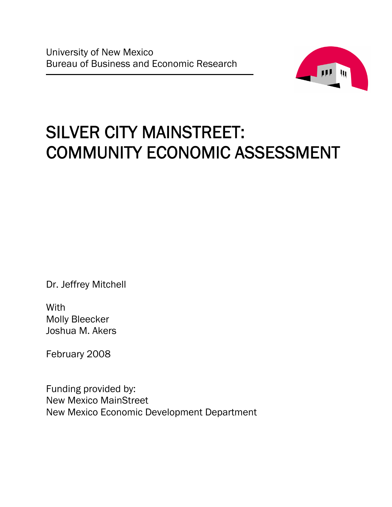

# SILVER CITY MAINSTREET: COMMUNITY ECONOMIC ASSESSMENT

Dr. Jeffrey Mitchell

**With** Molly Bleecker Joshua M. Akers

February 2008

Funding provided by: New Mexico MainStreet New Mexico Economic Development Department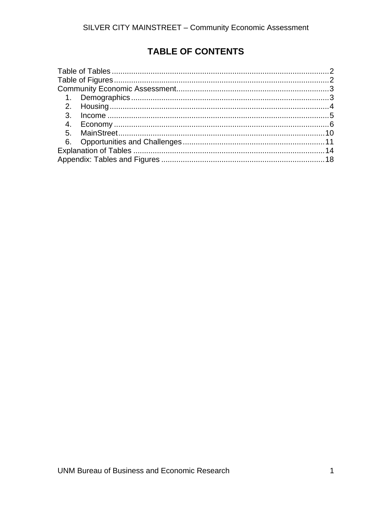# **TABLE OF CONTENTS**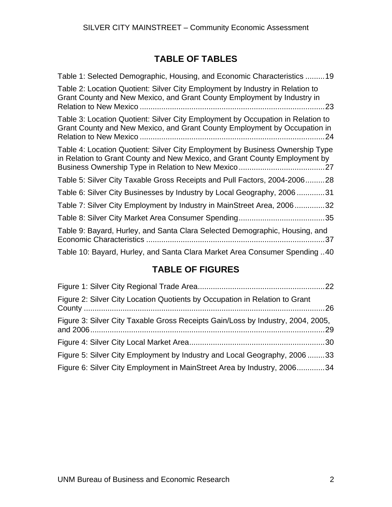# **TABLE OF TABLES**

<span id="page-3-0"></span>

| Table 1: Selected Demographic, Housing, and Economic Characteristics 19                                                                                            |
|--------------------------------------------------------------------------------------------------------------------------------------------------------------------|
| Table 2: Location Quotient: Silver City Employment by Industry in Relation to<br>Grant County and New Mexico, and Grant County Employment by Industry in<br>.23.   |
| Table 3: Location Quotient: Silver City Employment by Occupation in Relation to<br>Grant County and New Mexico, and Grant County Employment by Occupation in<br>24 |
| Table 4: Location Quotient: Silver City Employment by Business Ownership Type<br>in Relation to Grant County and New Mexico, and Grant County Employment by        |
| Table 5: Silver City Taxable Gross Receipts and Pull Factors, 2004-200628                                                                                          |
| Table 6: Silver City Businesses by Industry by Local Geography, 200631                                                                                             |
| Table 7: Silver City Employment by Industry in MainStreet Area, 200632                                                                                             |
|                                                                                                                                                                    |
| Table 9: Bayard, Hurley, and Santa Clara Selected Demographic, Housing, and<br>.37                                                                                 |
| Table 10: Bayard, Hurley, and Santa Clara Market Area Consumer Spending 40                                                                                         |

# **TABLE OF FIGURES**

| Figure 2: Silver City Location Quotients by Occupation in Relation to Grant     |  |
|---------------------------------------------------------------------------------|--|
| Figure 3: Silver City Taxable Gross Receipts Gain/Loss by Industry, 2004, 2005, |  |
|                                                                                 |  |
| Figure 5: Silver City Employment by Industry and Local Geography, 200633        |  |
| Figure 6: Silver City Employment in MainStreet Area by Industry, 200634         |  |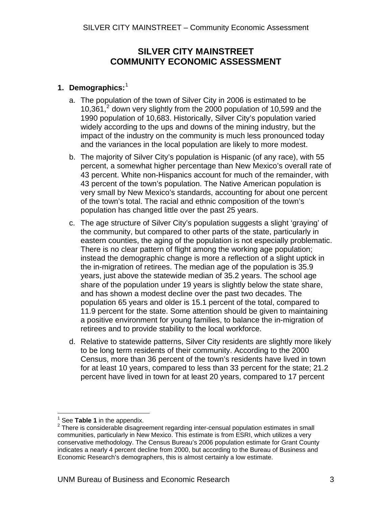# **SILVER CITY MAINSTREET COMMUNITY ECONOMIC ASSESSMENT**

# <span id="page-4-0"></span>**1. Demographics:** [1](#page-4-1)

- a. The population of the town of Silver City in 2006 is estimated to be  $10,361<sup>2</sup>$  $10,361<sup>2</sup>$  $10,361<sup>2</sup>$  down very slightly from the 2000 population of 10,599 and the 1990 population of 10,683. Historically, Silver City's population varied widely according to the ups and downs of the mining industry, but the impact of the industry on the community is much less pronounced today and the variances in the local population are likely to more modest.
- b. The majority of Silver City's population is Hispanic (of any race), with 55 percent, a somewhat higher percentage than New Mexico's overall rate of 43 percent. White non-Hispanics account for much of the remainder, with 43 percent of the town's population. The Native American population is very small by New Mexico's standards, accounting for about one percent of the town's total. The racial and ethnic composition of the town's population has changed little over the past 25 years.
- c. The age structure of Silver City's population suggests a slight 'graying' of the community, but compared to other parts of the state, particularly in eastern counties, the aging of the population is not especially problematic. There is no clear pattern of flight among the working age population; instead the demographic change is more a reflection of a slight uptick in the in-migration of retirees. The median age of the population is 35.9 years, just above the statewide median of 35.2 years. The school age share of the population under 19 years is slightly below the state share, and has shown a modest decline over the past two decades. The population 65 years and older is 15.1 percent of the total, compared to 11.9 percent for the state. Some attention should be given to maintaining a positive environment for young families, to balance the in-migration of retirees and to provide stability to the local workforce.
- d. Relative to statewide patterns, Silver City residents are slightly more likely to be long term residents of their community. According to the 2000 Census, more than 36 percent of the town's residents have lived in town for at least 10 years, compared to less than 33 percent for the state; 21.2 percent have lived in town for at least 20 years, compared to 17 percent

<sup>&</sup>lt;sup>1</sup><br><sup>2</sup> See **Table 1** in the appendix.

<span id="page-4-2"></span><span id="page-4-1"></span>There is considerable disagreement regarding inter-censual population estimates in small communities, particularly in New Mexico. This estimate is from ESRI, which utilizes a very conservative methodology. The Census Bureau's 2006 population estimate for Grant County indicates a nearly 4 percent decline from 2000, but according to the Bureau of Business and Economic Research's demographers, this is almost certainly a low estimate.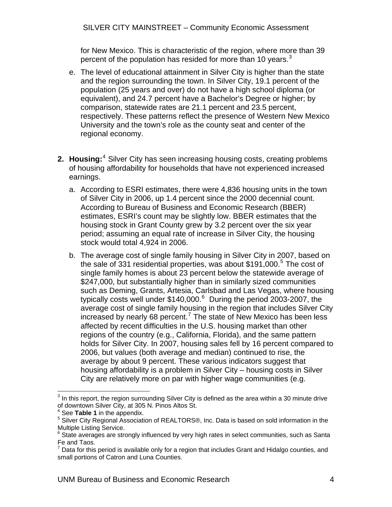<span id="page-5-0"></span>for New Mexico. This is characteristic of the region, where more than 39 percent of the population has resided for more than 10 years.<sup>[3](#page-5-1)</sup>

- e. The level of educational attainment in Silver City is higher than the state and the region surrounding the town. In Silver City, 19.1 percent of the population (25 years and over) do not have a high school diploma (or equivalent), and 24.7 percent have a Bachelor's Degree or higher; by comparison, statewide rates are 21.1 percent and 23.5 percent, respectively. These patterns reflect the presence of Western New Mexico University and the town's role as the county seat and center of the regional economy.
- 2. Housing:<sup>[4](#page-5-2)</sup> Silver City has seen increasing housing costs, creating problems of housing affordability for households that have not experienced increased earnings.
	- a. According to ESRI estimates, there were 4,836 housing units in the town of Silver City in 2006, up 1.4 percent since the 2000 decennial count. According to Bureau of Business and Economic Research (BBER) estimates, ESRI's count may be slightly low. BBER estimates that the housing stock in Grant County grew by 3.2 percent over the six year period; assuming an equal rate of increase in Silver City, the housing stock would total 4,924 in 2006.
	- b. The average cost of single family housing in Silver City in 2007, based on the sale of 331 residential properties, was about \$191,000.<sup>[5](#page-5-3)</sup> The cost of single family homes is about 23 percent below the statewide average of \$247,000, but substantially higher than in similarly sized communities such as Deming, Grants, Artesia, Carlsbad and Las Vegas, where housing typically costs well under \$140,000.<sup>[6](#page-5-4)</sup> During the period 2003-2007, the average cost of single family housing in the region that includes Silver City increased by nearly 68 percent.<sup>[7](#page-5-5)</sup> The state of New Mexico has been less affected by recent difficulties in the U.S. housing market than other regions of the country (e.g., California, Florida), and the same pattern holds for Silver City. In 2007, housing sales fell by 16 percent compared to 2006, but values (both average and median) continued to rise, the average by about 9 percent. These various indicators suggest that housing affordability is a problem in Silver City – housing costs in Silver City are relatively more on par with higher wage communities (e.g.

 $\overline{a}$  $3$  In this report, the region surrounding Silver City is defined as the area within a 30 minute drive of downtown Silver City, at 305 N. Pinos Altos St.

<sup>4</sup> See **Table 1** in the appendix.

<sup>&</sup>lt;sup>5</sup> Silver City Regional Association of REALTORS®, Inc. Data is based on sold information in the Multiple Listing Service.

 $6$  State averages are strongly influenced by very high rates in select communities, such as Santa Fe and Taos.

<span id="page-5-5"></span><span id="page-5-4"></span><span id="page-5-3"></span><span id="page-5-2"></span><span id="page-5-1"></span> $^7$  Data for this period is available only for a region that includes Grant and Hidalgo counties, and small portions of Catron and Luna Counties.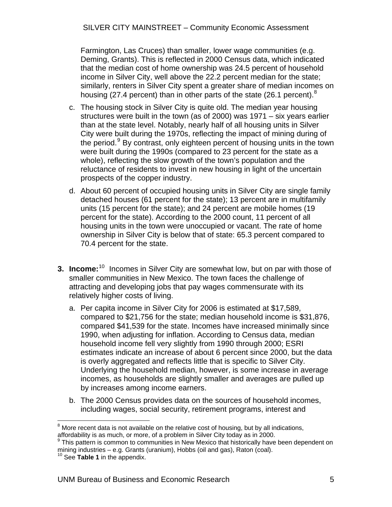<span id="page-6-0"></span>SILVER CITY MAINSTREET – Community Economic Assessment

Farmington, Las Cruces) than smaller, lower wage communities (e.g. Deming, Grants). This is reflected in 2000 Census data, which indicated that the median cost of home ownership was 24.5 percent of household income in Silver City, well above the 22.2 percent median for the state; similarly, renters in Silver City spent a greater share of median incomes on housing (27.4 percent) than in other parts of the state (26.1 percent).<sup>[8](#page-6-1)</sup>

- c. The housing stock in Silver City is quite old. The median year housing structures were built in the town (as of 2000) was 1971 – six years earlier than at the state level. Notably, nearly half of all housing units in Silver City were built during the 1970s, reflecting the impact of mining during of the period.<sup>[9](#page-6-2)</sup> By contrast, only eighteen percent of housing units in the town were built during the 1990s (compared to 23 percent for the state as a whole), reflecting the slow growth of the town's population and the reluctance of residents to invest in new housing in light of the uncertain prospects of the copper industry.
- d. About 60 percent of occupied housing units in Silver City are single family detached houses (61 percent for the state); 13 percent are in multifamily units (15 percent for the state); and 24 percent are mobile homes (19 percent for the state). According to the 2000 count, 11 percent of all housing units in the town were unoccupied or vacant. The rate of home ownership in Silver City is below that of state: 65.3 percent compared to 70.4 percent for the state.
- **3. Income:**<sup>[10](#page-6-3)</sup> Incomes in Silver City are somewhat low, but on par with those of smaller communities in New Mexico. The town faces the challenge of attracting and developing jobs that pay wages commensurate with its relatively higher costs of living.
	- a. Per capita income in Silver City for 2006 is estimated at \$17,589, compared to \$21,756 for the state; median household income is \$31,876, compared \$41,539 for the state. Incomes have increased minimally since 1990, when adjusting for inflation. According to Census data, median household income fell very slightly from 1990 through 2000; ESRI estimates indicate an increase of about 6 percent since 2000, but the data is overly aggregated and reflects little that is specific to Silver City. Underlying the household median, however, is some increase in average incomes, as households are slightly smaller and averages are pulled up by increases among income earners.
	- b. The 2000 Census provides data on the sources of household incomes, including wages, social security, retirement programs, interest and

<span id="page-6-1"></span>**EXECUTE:**<br>8 More recent data is not available on the relative cost of housing, but by all indications, affordability is as much, or more, of a problem in Silver City today as in 2000.

<span id="page-6-2"></span> $9$  This pattern is common to communities in New Mexico that historically have been dependent on mining industries – e.g. Grants (uranium), Hobbs (oil and gas), Raton (coal).<br><sup>10</sup> See **Table 1** in the appendix.

<span id="page-6-3"></span>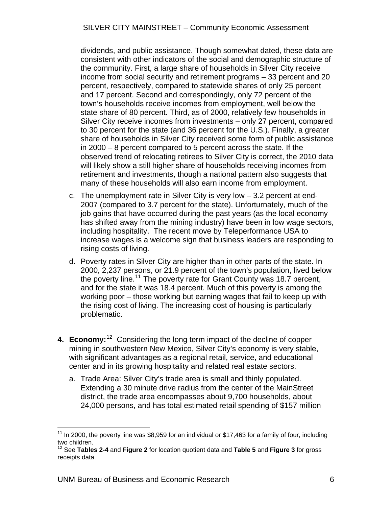<span id="page-7-0"></span>dividends, and public assistance. Though somewhat dated, these data are consistent with other indicators of the social and demographic structure of the community. First, a large share of households in Silver City receive income from social security and retirement programs – 33 percent and 20 percent, respectively, compared to statewide shares of only 25 percent and 17 percent. Second and correspondingly, only 72 percent of the town's households receive incomes from employment, well below the state share of 80 percent. Third, as of 2000, relatively few households in Silver City receive incomes from investments – only 27 percent, compared to 30 percent for the state (and 36 percent for the U.S.). Finally, a greater share of households in Silver City received some form of public assistance in 2000 – 8 percent compared to 5 percent across the state. If the observed trend of relocating retirees to Silver City is correct, the 2010 data will likely show a still higher share of households receiving incomes from retirement and investments, though a national pattern also suggests that many of these households will also earn income from employment.

- c. The unemployment rate in Silver City is very low 3.2 percent at end-2007 (compared to 3.7 percent for the state). Unforturnately, much of the job gains that have occurred during the past years (as the local economy has shifted away from the mining industry) have been in low wage sectors, including hospitality. The recent move by Teleperformance USA to increase wages is a welcome sign that business leaders are responding to rising costs of living.
- d. Poverty rates in Silver City are higher than in other parts of the state. In 2000, 2,237 persons, or 21.9 percent of the town's population, lived below the poverty line.<sup>[11](#page-7-0)</sup> The poverty rate for Grant County was 18.7 percent, and for the state it was 18.4 percent. Much of this poverty is among the working poor – those working but earning wages that fail to keep up with the rising cost of living. The increasing cost of housing is particularly problematic.
- 4. Economy:<sup>[12](#page-7-0)</sup> Considering the long term impact of the decline of copper mining in southwestern New Mexico, Silver City's economy is very stable, with significant advantages as a regional retail, service, and educational center and in its growing hospitality and related real estate sectors.
	- a. Trade Area: Silver City's trade area is small and thinly populated. Extending a 30 minute drive radius from the center of the MainStreet district, the trade area encompasses about 9,700 households, about 24,000 persons, and has total estimated retail spending of \$157 million

 $\overline{a}$ 

<sup>&</sup>lt;sup>11</sup> In 2000, the poverty line was \$8,959 for an individual or \$17,463 for a family of four, including two children.

<sup>12</sup> See **Tables 2-4** and **Figure 2** for location quotient data and **Table 5** and **Figure 3** for gross receipts data.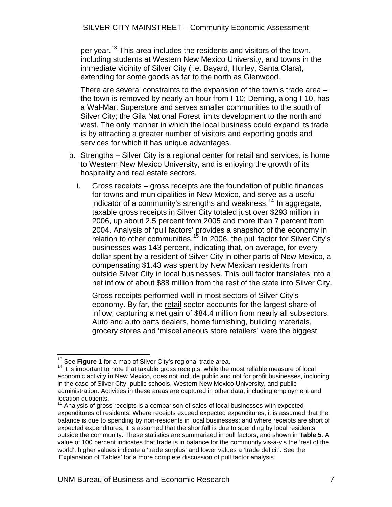<span id="page-8-0"></span>per year.<sup>[13](#page-8-0)</sup> This area includes the residents and visitors of the town, including students at Western New Mexico University, and towns in the immediate vicinity of Silver City (i.e. Bayard, Hurley, Santa Clara), extending for some goods as far to the north as Glenwood.

There are several constraints to the expansion of the town's trade area – the town is removed by nearly an hour from I-10; Deming, along I-10, has a Wal-Mart Superstore and serves smaller communities to the south of Silver City; the Gila National Forest limits development to the north and west. The only manner in which the local business could expand its trade is by attracting a greater number of visitors and exporting goods and services for which it has unique advantages.

- b. Strengths Silver City is a regional center for retail and services, is home to Western New Mexico University, and is enjoying the growth of its hospitality and real estate sectors.
	- i. Gross receipts gross receipts are the foundation of public finances for towns and municipalities in New Mexico, and serve as a useful indicator of a community's strengths and weakness.<sup>[14](#page-8-0)</sup> In aggregate, taxable gross receipts in Silver City totaled just over \$293 million in 2006, up about 2.5 percent from 2005 and more than 7 percent from 2004. Analysis of 'pull factors' provides a snapshot of the economy in relation to other communities.<sup>[15](#page-8-0)</sup> In 2006, the pull factor for Silver City's businesses was 143 percent, indicating that, on average, for every dollar spent by a resident of Silver City in other parts of New Mexico, a compensating \$1.43 was spent by New Mexican residents from outside Silver City in local businesses. This pull factor translates into a net inflow of about \$88 million from the rest of the state into Silver City.

Gross receipts performed well in most sectors of Silver City's economy. By far, the retail sector accounts for the largest share of inflow, capturing a net gain of \$84.4 million from nearly all subsectors. Auto and auto parts dealers, home furnishing, building materials, grocery stores and 'miscellaneous store retailers' were the biggest

<sup>&</sup>lt;sup>13</sup> See Figure 1 for a map of Silver City's regional trade area.

<sup>&</sup>lt;sup>14</sup> It is important to note that taxable gross receipts, while the most reliable measure of local economic activity in New Mexico, does not include public and not for profit businesses, including in the case of Silver City, public schools, Western New Mexico University, and public administration. Activities in these areas are captured in other data, including employment and location quotients.

<sup>&</sup>lt;sup>15</sup> Analysis of gross receipts is a comparison of sales of local businesses with expected expenditures of residents. Where receipts exceed expected expenditures, it is assumed that the balance is due to spending by non-residents in local businesses; and where receipts are short of expected expenditures, it is assumed that the shortfall is due to spending by local residents outside the community. These statistics are summarized in pull factors, and shown in **Table 5**. A value of 100 percent indicates that trade is in balance for the community vis-à-vis the 'rest of the world'; higher values indicate a 'trade surplus' and lower values a 'trade deficit'. See the 'Explanation of Tables' for a more complete discussion of pull factor analysis.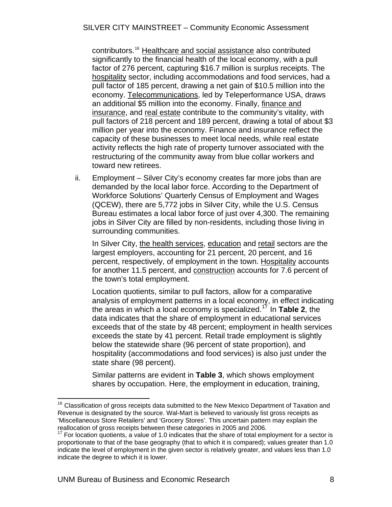<span id="page-9-0"></span>contributors.[16](#page-9-0) Healthcare and social assistance also contributed significantly to the financial health of the local economy, with a pull factor of 276 percent, capturing \$16.7 million is surplus receipts. The hospitality sector, including accommodations and food services, had a pull factor of 185 percent, drawing a net gain of \$10.5 million into the economy. Telecommunications, led by Teleperformance USA, draws an additional \$5 million into the economy. Finally, finance and insurance, and real estate contribute to the community's vitality, with pull factors of 218 percent and 189 percent, drawing a total of about \$3 million per year into the economy. Finance and insurance reflect the capacity of these businesses to meet local needs, while real estate activity reflects the high rate of property turnover associated with the restructuring of the community away from blue collar workers and toward new retirees.

ii. Employment – Silver City's economy creates far more jobs than are demanded by the local labor force. According to the Department of Workforce Solutions' Quarterly Census of Employment and Wages (QCEW), there are 5,772 jobs in Silver City, while the U.S. Census Bureau estimates a local labor force of just over 4,300. The remaining jobs in Silver City are filled by non-residents, including those living in surrounding communities.

In Silver City, the health services, education and retail sectors are the largest employers, accounting for 21 percent, 20 percent, and 16 percent, respectively, of employment in the town. Hospitality accounts for another 11.5 percent, and construction accounts for 7.6 percent of the town's total employment.

Location quotients, similar to pull factors, allow for a comparative analysis of employment patterns in a local economy, in effect indicating the areas in which a local economy is specialized.[17](#page-9-0) In **Table 2**, the data indicates that the share of employment in educational services exceeds that of the state by 48 percent; employment in health services exceeds the state by 41 percent. Retail trade employment is slightly below the statewide share (96 percent of state proportion), and hospitality (accommodations and food services) is also just under the state share (98 percent).

Similar patterns are evident in **Table 3**, which shows employment shares by occupation. Here, the employment in education, training,

 $\overline{a}$ 

 $16$  Classification of gross receipts data submitted to the New Mexico Department of Taxation and Revenue is designated by the source. Wal-Mart is believed to variously list gross receipts as 'Miscellaneous Store Retailers' and 'Grocery Stores'. This uncertain pattern may explain the reallocation of gross receipts between these categories in 2005 and 2006.

 $^7$  For location quotients, a value of 1.0 indicates that the share of total employment for a sector is proportionate to that of the base geography (that to which it is compared); values greater than 1.0 indicate the level of employment in the given sector is relatively greater, and values less than 1.0 indicate the degree to which it is lower.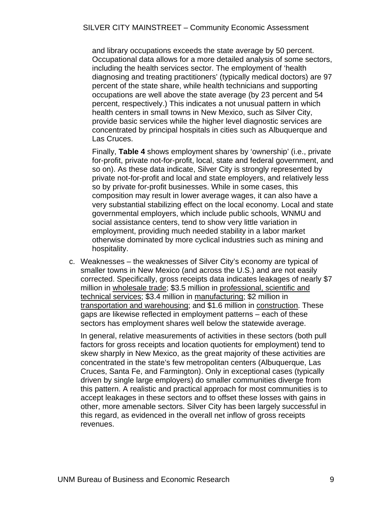and library occupations exceeds the state average by 50 percent. Occupational data allows for a more detailed analysis of some sectors, including the health services sector. The employment of 'health diagnosing and treating practitioners' (typically medical doctors) are 97 percent of the state share, while health technicians and supporting occupations are well above the state average (by 23 percent and 54 percent, respectively.) This indicates a not unusual pattern in which health centers in small towns in New Mexico, such as Silver City, provide basic services while the higher level diagnostic services are concentrated by principal hospitals in cities such as Albuquerque and Las Cruces.

Finally, **Table 4** shows employment shares by 'ownership' (i.e., private for-profit, private not-for-profit, local, state and federal government, and so on). As these data indicate, Silver City is strongly represented by private not-for-profit and local and state employers, and relatively less so by private for-profit businesses. While in some cases, this composition may result in lower average wages, it can also have a very substantial stabilizing effect on the local economy. Local and state governmental employers, which include public schools, WNMU and social assistance centers, tend to show very little variation in employment, providing much needed stability in a labor market otherwise dominated by more cyclical industries such as mining and hospitality.

c. Weaknesses – the weaknesses of Silver City's economy are typical of smaller towns in New Mexico (and across the U.S.) and are not easily corrected. Specifically, gross receipts data indicates leakages of nearly \$7 million in wholesale trade; \$3.5 million in professional, scientific and technical services; \$3.4 million in manufacturing; \$2 million in transportation and warehousing; and \$1.6 million in construction. These gaps are likewise reflected in employment patterns – each of these sectors has employment shares well below the statewide average.

In general, relative measurements of activities in these sectors (both pull factors for gross receipts and location quotients for employment) tend to skew sharply in New Mexico, as the great majority of these activities are concentrated in the state's few metropolitan centers (Albuquerque, Las Cruces, Santa Fe, and Farmington). Only in exceptional cases (typically driven by single large employers) do smaller communities diverge from this pattern. A realistic and practical approach for most communities is to accept leakages in these sectors and to offset these losses with gains in other, more amenable sectors. Silver City has been largely successful in this regard, as evidenced in the overall net inflow of gross receipts revenues.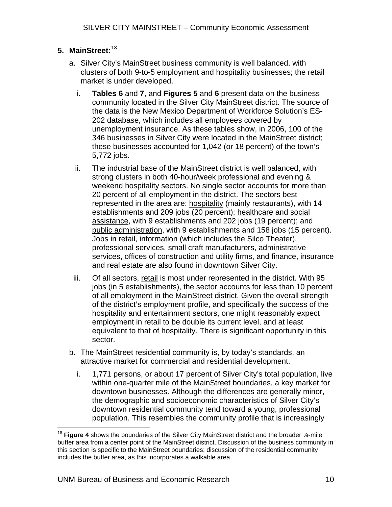# <span id="page-11-0"></span>**5. MainStreet:** [18](#page-11-0)

- a. Silver City's MainStreet business community is well balanced, with clusters of both 9-to-5 employment and hospitality businesses; the retail market is under developed.
	- i. **Tables 6** and **7**, and **Figures 5** and **6** present data on the business community located in the Silver City MainStreet district. The source of the data is the New Mexico Department of Workforce Solution's ES-202 database, which includes all employees covered by unemployment insurance. As these tables show, in 2006, 100 of the 346 businesses in Silver City were located in the MainStreet district; these businesses accounted for 1,042 (or 18 percent) of the town's 5,772 jobs.
	- ii. The industrial base of the MainStreet district is well balanced, with strong clusters in both 40-hour/week professional and evening & weekend hospitality sectors. No single sector accounts for more than 20 percent of all employment in the district. The sectors best represented in the area are: **hospitality** (mainly restaurants), with 14 establishments and 209 jobs (20 percent); healthcare and social assistance, with 9 establishments and 202 jobs (19 percent); and public administration, with 9 establishments and 158 jobs (15 percent). Jobs in retail, information (which includes the Silco Theater), professional services, small craft manufacturers, administrative services, offices of construction and utility firms, and finance, insurance and real estate are also found in downtown Silver City.
- iii. Of all sectors, retail is most under represented in the district. With 95 jobs (in 5 establishments), the sector accounts for less than 10 percent of all employment in the MainStreet district. Given the overall strength of the district's employment profile, and specifically the success of the hospitality and entertainment sectors, one might reasonably expect employment in retail to be double its current level, and at least equivalent to that of hospitality. There is significant opportunity in this sector.
- b. The MainStreet residential community is, by today's standards, an attractive market for commercial and residential development.
	- i. 1,771 persons, or about 17 percent of Silver City's total population, live within one-quarter mile of the MainStreet boundaries, a key market for downtown businesses. Although the differences are generally minor, the demographic and socioeconomic characteristics of Silver City's downtown residential community tend toward a young, professional population. This resembles the community profile that is increasingly

 $\overline{a}$ <sup>18</sup> Figure 4 shows the boundaries of the Silver City MainStreet district and the broader 1/<sub>4</sub>-mile buffer area from a center point of the MainStreet district. Discussion of the business community in this section is specific to the MainStreet boundaries; discussion of the residential community includes the buffer area, as this incorporates a walkable area.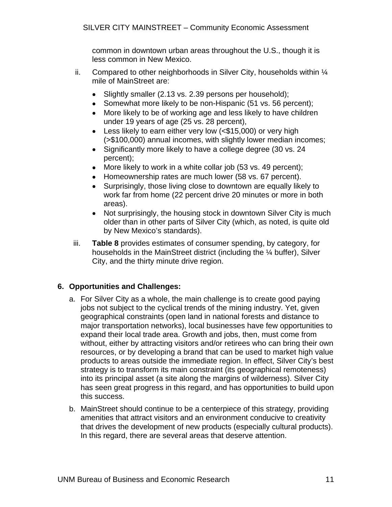common in downtown urban areas throughout the U.S., though it is less common in New Mexico.

- <span id="page-12-0"></span>ii. Compared to other neighborhoods in Silver City, households within  $\frac{1}{4}$ mile of MainStreet are:
	- Slightly smaller (2.13 vs. 2.39 persons per household);
	- Somewhat more likely to be non-Hispanic (51 vs. 56 percent);
	- More likely to be of working age and less likely to have children under 19 years of age (25 vs. 28 percent),
	- Less likely to earn either very low (<\$15,000) or very high (>\$100,000) annual incomes, with slightly lower median incomes;
	- Significantly more likely to have a college degree (30 vs. 24 percent);
	- More likely to work in a white collar job (53 vs. 49 percent);
	- Homeownership rates are much lower (58 vs. 67 percent).
	- Surprisingly, those living close to downtown are equally likely to work far from home (22 percent drive 20 minutes or more in both areas).
	- Not surprisingly, the housing stock in downtown Silver City is much older than in other parts of Silver City (which, as noted, is quite old by New Mexico's standards).
- iii. **Table 8** provides estimates of consumer spending, by category, for households in the MainStreet district (including the ¼ buffer), Silver City, and the thirty minute drive region.

## **6. Opportunities and Challenges:**

- a. For Silver City as a whole, the main challenge is to create good paying jobs not subject to the cyclical trends of the mining industry. Yet, given geographical constraints (open land in national forests and distance to major transportation networks), local businesses have few opportunities to expand their local trade area. Growth and jobs, then, must come from without, either by attracting visitors and/or retirees who can bring their own resources, or by developing a brand that can be used to market high value products to areas outside the immediate region. In effect, Silver City's best strategy is to transform its main constraint (its geographical remoteness) into its principal asset (a site along the margins of wilderness). Silver City has seen great progress in this regard, and has opportunities to build upon this success.
- b. MainStreet should continue to be a centerpiece of this strategy, providing amenities that attract visitors and an environment conducive to creativity that drives the development of new products (especially cultural products). In this regard, there are several areas that deserve attention.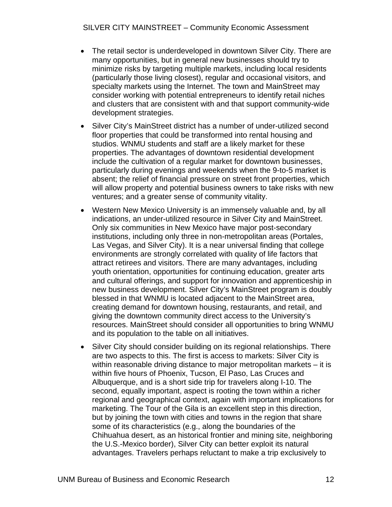- The retail sector is underdeveloped in downtown Silver City. There are many opportunities, but in general new businesses should try to minimize risks by targeting multiple markets, including local residents (particularly those living closest), regular and occasional visitors, and specialty markets using the Internet. The town and MainStreet may consider working with potential entrepreneurs to identify retail niches and clusters that are consistent with and that support community-wide development strategies.
- Silver City's MainStreet district has a number of under-utilized second floor properties that could be transformed into rental housing and studios. WNMU students and staff are a likely market for these properties. The advantages of downtown residential development include the cultivation of a regular market for downtown businesses, particularly during evenings and weekends when the 9-to-5 market is absent; the relief of financial pressure on street front properties, which will allow property and potential business owners to take risks with new ventures; and a greater sense of community vitality.
- Western New Mexico University is an immensely valuable and, by all indications, an under-utilized resource in Silver City and MainStreet. Only six communities in New Mexico have major post-secondary institutions, including only three in non-metropolitan areas (Portales, Las Vegas, and Silver City). It is a near universal finding that college environments are strongly correlated with quality of life factors that attract retirees and visitors. There are many advantages, including youth orientation, opportunities for continuing education, greater arts and cultural offerings, and support for innovation and apprenticeship in new business development. Silver City's MainStreet program is doubly blessed in that WNMU is located adjacent to the MainStreet area, creating demand for downtown housing, restaurants, and retail, and giving the downtown community direct access to the University's resources. MainStreet should consider all opportunities to bring WNMU and its population to the table on all initiatives.
- Silver City should consider building on its regional relationships. There are two aspects to this. The first is access to markets: Silver City is within reasonable driving distance to major metropolitan markets – it is within five hours of Phoenix, Tucson, El Paso, Las Cruces and Albuquerque, and is a short side trip for travelers along I-10. The second, equally important, aspect is rooting the town within a richer regional and geographical context, again with important implications for marketing. The Tour of the Gila is an excellent step in this direction, but by joining the town with cities and towns in the region that share some of its characteristics (e.g., along the boundaries of the Chihuahua desert, as an historical frontier and mining site, neighboring the U.S.-Mexico border), Silver City can better exploit its natural advantages. Travelers perhaps reluctant to make a trip exclusively to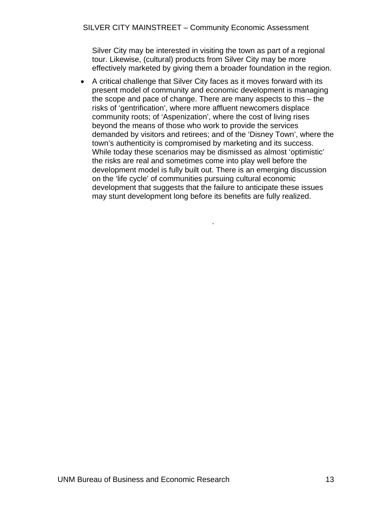Silver City may be interested in visiting the town as part of a regional tour. Likewise, (cultural) products from Silver City may be more effectively marketed by giving them a broader foundation in the region.

• A critical challenge that Silver City faces as it moves forward with its present model of community and economic development is managing the scope and pace of change. There are many aspects to this – the risks of 'gentrification', where more affluent newcomers displace community roots; of 'Aspenization', where the cost of living rises beyond the means of those who work to provide the services demanded by visitors and retirees; and of the 'Disney Town', where the town's authenticity is compromised by marketing and its success. While today these scenarios may be dismissed as almost 'optimistic' the risks are real and sometimes come into play well before the development model is fully built out. There is an emerging discussion on the 'life cycle' of communities pursuing cultural economic development that suggests that the failure to anticipate these issues may stunt development long before its benefits are fully realized.

.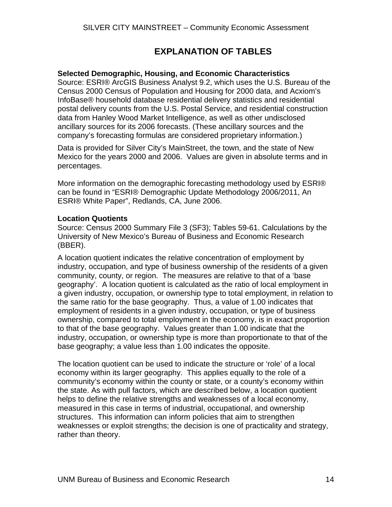# **EXPLANATION OF TABLES**

## <span id="page-15-0"></span>**Selected Demographic, Housing, and Economic Characteristics**

Source: ESRI® ArcGIS Business Analyst 9.2, which uses the U.S. Bureau of the Census 2000 Census of Population and Housing for 2000 data, and Acxiom's InfoBase® household database residential delivery statistics and residential postal delivery counts from the U.S. Postal Service, and residential construction data from Hanley Wood Market Intelligence, as well as other undisclosed ancillary sources for its 2006 forecasts. (These ancillary sources and the company's forecasting formulas are considered proprietary information.)

Data is provided for Silver City's MainStreet, the town, and the state of New Mexico for the years 2000 and 2006. Values are given in absolute terms and in percentages.

More information on the demographic forecasting methodology used by ESRI® can be found in "ESRI® Demographic Update Methodology 2006/2011, An ESRI® White Paper", Redlands, CA, June 2006.

#### **Location Quotients**

Source: Census 2000 Summary File 3 (SF3); Tables 59-61. Calculations by the University of New Mexico's Bureau of Business and Economic Research (BBER).

A location quotient indicates the relative concentration of employment by industry, occupation, and type of business ownership of the residents of a given community, county, or region. The measures are relative to that of a 'base geography'. A location quotient is calculated as the ratio of local employment in a given industry, occupation, or ownership type to total employment, in relation to the same ratio for the base geography. Thus, a value of 1.00 indicates that employment of residents in a given industry, occupation, or type of business ownership, compared to total employment in the economy, is in exact proportion to that of the base geography. Values greater than 1.00 indicate that the industry, occupation, or ownership type is more than proportionate to that of the base geography; a value less than 1.00 indicates the opposite.

The location quotient can be used to indicate the structure or 'role' of a local economy within its larger geography. This applies equally to the role of a community's economy within the county or state, or a county's economy within the state. As with pull factors, which are described below, a location quotient helps to define the relative strengths and weaknesses of a local economy, measured in this case in terms of industrial, occupational, and ownership structures. This information can inform policies that aim to strengthen weaknesses or exploit strengths; the decision is one of practicality and strategy, rather than theory.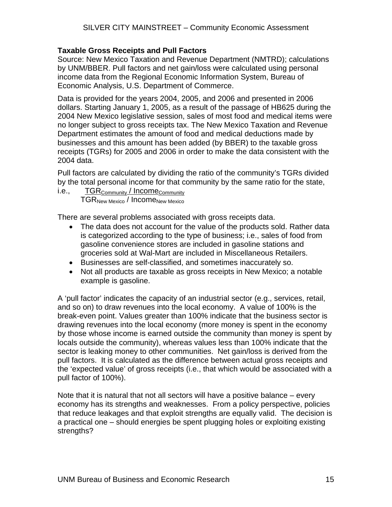## **Taxable Gross Receipts and Pull Factors**

Source: New Mexico Taxation and Revenue Department (NMTRD); calculations by UNM/BBER. Pull factors and net gain/loss were calculated using personal income data from the Regional Economic Information System, Bureau of Economic Analysis, U.S. Department of Commerce.

Data is provided for the years 2004, 2005, and 2006 and presented in 2006 dollars. Starting January 1, 2005, as a result of the passage of HB625 during the 2004 New Mexico legislative session, sales of most food and medical items were no longer subject to gross receipts tax. The New Mexico Taxation and Revenue Department estimates the amount of food and medical deductions made by businesses and this amount has been added (by BBER) to the taxable gross receipts (TGRs) for 2005 and 2006 in order to make the data consistent with the 2004 data.

Pull factors are calculated by dividing the ratio of the community's TGRs divided by the total personal income for that community by the same ratio for the state,

#### i.e., TGR<sub>Community</sub> / Income<sub>Community</sub> TGR<sub>New Mexico</sub> / Income<sub>New Mexico</sub>

There are several problems associated with gross receipts data.

- The data does not account for the value of the products sold. Rather data is categorized according to the type of business; i.e., sales of food from gasoline convenience stores are included in gasoline stations and groceries sold at Wal-Mart are included in Miscellaneous Retailers.
- Businesses are self-classified, and sometimes inaccurately so.
- Not all products are taxable as gross receipts in New Mexico; a notable example is gasoline.

A 'pull factor' indicates the capacity of an industrial sector (e.g., services, retail, and so on) to draw revenues into the local economy. A value of 100% is the break-even point. Values greater than 100% indicate that the business sector is drawing revenues into the local economy (more money is spent in the economy by those whose income is earned outside the community than money is spent by locals outside the community), whereas values less than 100% indicate that the sector is leaking money to other communities. Net gain/loss is derived from the pull factors. It is calculated as the difference between actual gross receipts and the 'expected value' of gross receipts (i.e., that which would be associated with a pull factor of 100%).

Note that it is natural that not all sectors will have a positive balance – every economy has its strengths and weaknesses. From a policy perspective, policies that reduce leakages and that exploit strengths are equally valid. The decision is a practical one – should energies be spent plugging holes or exploiting existing strengths?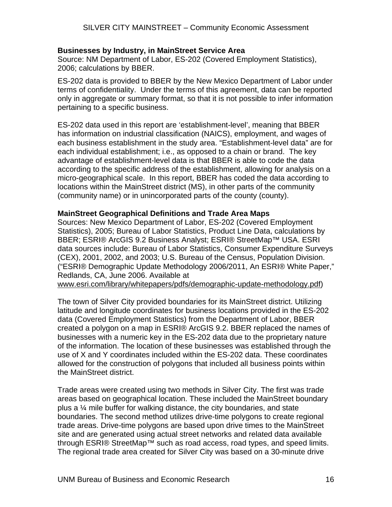#### **Businesses by Industry, in MainStreet Service Area**

Source: NM Department of Labor, ES-202 (Covered Employment Statistics), 2006; calculations by BBER.

ES-202 data is provided to BBER by the New Mexico Department of Labor under terms of confidentiality. Under the terms of this agreement, data can be reported only in aggregate or summary format, so that it is not possible to infer information pertaining to a specific business.

ES-202 data used in this report are 'establishment-level', meaning that BBER has information on industrial classification (NAICS), employment, and wages of each business establishment in the study area. "Establishment-level data" are for each individual establishment; i.e., as opposed to a chain or brand. The key advantage of establishment-level data is that BBER is able to code the data according to the specific address of the establishment, allowing for analysis on a micro-geographical scale. In this report, BBER has coded the data according to locations within the MainStreet district (MS), in other parts of the community (community name) or in unincorporated parts of the county (county).

#### **MainStreet Geographical Definitions and Trade Area Maps**

Sources: New Mexico Department of Labor, ES-202 (Covered Employment Statistics), 2005; Bureau of Labor Statistics, Product Line Data, calculations by BBER; ESRI® ArcGIS 9.2 Business Analyst; ESRI® StreetMap™ USA. ESRI data sources include: Bureau of Labor Statistics, Consumer Expenditure Surveys (CEX), 2001, 2002, and 2003; U.S. Bureau of the Census, Population Division. ("ESRI® Demographic Update Methodology 2006/2011, An ESRI® White Paper," Redlands, CA, June 2006. Available at

[www.esri.com/library/whitepapers/pdfs/demographic-update-methodology.pdf\)](http://www.esri.com/library/whitepapers/pdfs/demographic-update-methodology.pdf)

The town of Silver City provided boundaries for its MainStreet district. Utilizing latitude and longitude coordinates for business locations provided in the ES-202 data (Covered Employment Statistics) from the Department of Labor, BBER created a polygon on a map in ESRI® ArcGIS 9.2. BBER replaced the names of businesses with a numeric key in the ES-202 data due to the proprietary nature of the information. The location of these businesses was established through the use of X and Y coordinates included within the ES-202 data. These coordinates allowed for the construction of polygons that included all business points within the MainStreet district.

Trade areas were created using two methods in Silver City. The first was trade areas based on geographical location. These included the MainStreet boundary plus a ¼ mile buffer for walking distance, the city boundaries, and state boundaries. The second method utilizes drive-time polygons to create regional trade areas. Drive-time polygons are based upon drive times to the MainStreet site and are generated using actual street networks and related data available through ESRI® StreetMap<sup>™</sup> such as road access, road types, and speed limits. The regional trade area created for Silver City was based on a 30-minute drive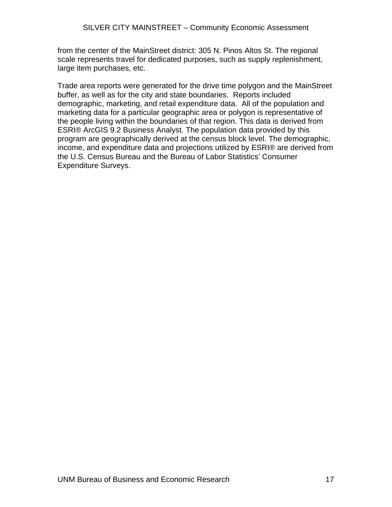from the center of the MainStreet district: 305 N. Pinos Altos St. The regional scale represents travel for dedicated purposes, such as supply replenishment, large item purchases, etc.

Trade area reports were generated for the drive time polygon and the MainStreet buffer, as well as for the city and state boundaries. Reports included demographic, marketing, and retail expenditure data. All of the population and marketing data for a particular geographic area or polygon is representative of the people living within the boundaries of that region. This data is derived from ESRI® ArcGIS 9.2 Business Analyst. The population data provided by this program are geographically derived at the census block level. The demographic, income, and expenditure data and projections utilized by ESRI® are derived from the U.S. Census Bureau and the Bureau of Labor Statistics' Consumer Expenditure Surveys.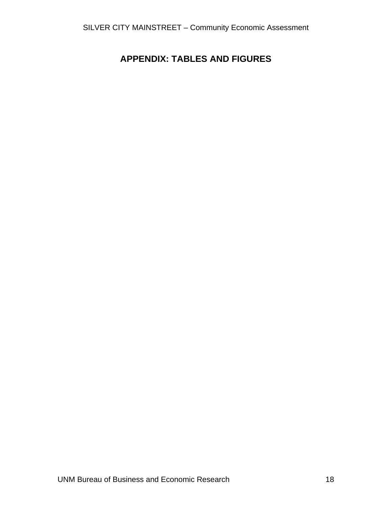# <span id="page-19-0"></span>**APPENDIX: TABLES AND FIGURES**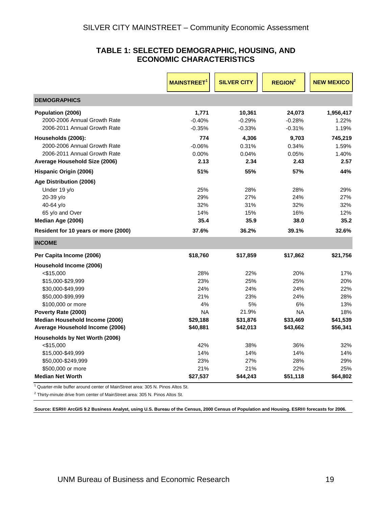#### **TABLE 1: SELECTED DEMOGRAPHIC, HOUSING, AND ECONOMIC CHARACTERISTICS**

<span id="page-20-0"></span>

|                                      | <b>MAINSTREET</b> | <b>SILVER CITY</b> | <b>REGION<sup>2</sup></b> | <b>NEW MEXICO</b> |
|--------------------------------------|-------------------|--------------------|---------------------------|-------------------|
| <b>DEMOGRAPHICS</b>                  |                   |                    |                           |                   |
| Population (2006)                    | 1,771             | 10,361             | 24,073                    | 1,956,417         |
| 2000-2006 Annual Growth Rate         | $-0.40%$          | $-0.29%$           | $-0.28%$                  | 1.22%             |
| 2006-2011 Annual Growth Rate         | $-0.35%$          | $-0.33%$           | $-0.31%$                  | 1.19%             |
| Households (2006):                   | 774               | 4,306              | 9,703                     | 745,219           |
| 2000-2006 Annual Growth Rate         | $-0.06%$          | 0.31%              | 0.34%                     | 1.59%             |
| 2006-2011 Annual Growth Rate         | 0.00%             | 0.04%              | 0.05%                     | 1.40%             |
| Average Household Size (2006)        | 2.13              | 2.34               | 2.43                      | 2.57              |
| Hispanic Origin (2006)               | 51%               | 55%                | 57%                       | 44%               |
| Age Distribution (2006)              |                   |                    |                           |                   |
| Under 19 y/o                         | 25%               | 28%                | 28%                       | 29%               |
| 20-39 y/o                            | 29%               | 27%                | 24%                       | 27%               |
| 40-64 y/o                            | 32%               | 31%                | 32%                       | 32%               |
| 65 y/o and Over                      | 14%               | 15%                | 16%                       | 12%               |
| Median Age (2006)                    | 35.4              | 35.9               | 38.0                      | 35.2              |
| Resident for 10 years or more (2000) | 37.6%             | 36.2%              | 39.1%                     | 32.6%             |
| <b>INCOME</b>                        |                   |                    |                           |                   |
| Per Capita Income (2006)             | \$18,760          | \$17,859           | \$17,862                  | \$21,756          |
| Household Income (2006)              |                   |                    |                           |                   |
| $<$ \$15,000                         | 28%               | 22%                | 20%                       | 17%               |
| \$15,000-\$29,999                    | 23%               | 25%                | 25%                       | 20%               |
| \$30,000-\$49,999                    | 24%               | 24%                | 24%                       | 22%               |
| \$50,000-\$99,999                    | 21%               | 23%                | 24%                       | 28%               |
| \$100,000 or more                    | 4%                | 5%                 | 6%                        | 13%               |
| Poverty Rate (2000)                  | <b>NA</b>         | 21.9%              | <b>NA</b>                 | 18%               |
| Median Household Income (2006)       | \$29,188          | \$31,876           | \$33,469                  | \$41,539          |
| Average Household Income (2006)      | \$40,881          | \$42,013           | \$43,662                  | \$56,341          |
| Households by Net Worth (2006)       |                   |                    |                           |                   |
| $<$ \$15,000                         | 42%               | 38%                | 36%                       | 32%               |
| \$15,000-\$49,999                    | 14%               | 14%                | 14%                       | 14%               |
| \$50,000-\$249,999                   | 23%               | 27%                | 28%                       | 29%               |
| \$500,000 or more                    | 21%               | 21%                | 22%                       | 25%               |
| <b>Median Net Worth</b>              | \$27,537          | \$44,243           | \$51,118                  | \$64,802          |

<sup>1</sup> Quarter-mile buffer around center of MainStreet area: 305 N. Pinos Altos St.

 $2$  Thirty-minute drive from center of MainStreet area: 305 N. Pinos Altos St.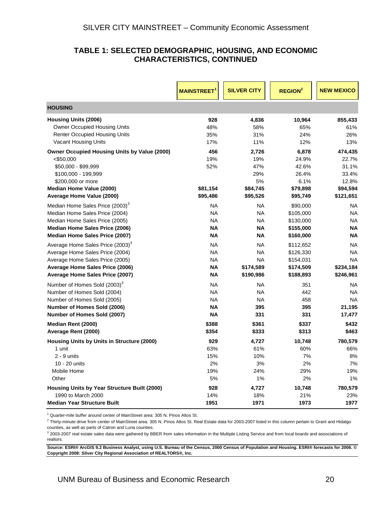#### **TABLE 1: SELECTED DEMOGRAPHIC, HOUSING, AND ECONOMIC CHARACTERISTICS, CONTINUED**

|                                                     | <b>MAINSTREET</b> | <b>SILVER CITY</b> | <b>REGION<sup>2</sup></b> | <b>NEW MEXICO</b> |
|-----------------------------------------------------|-------------------|--------------------|---------------------------|-------------------|
| <b>HOUSING</b>                                      |                   |                    |                           |                   |
| <b>Housing Units (2006)</b>                         | 928               | 4,836              | 10,964                    | 855,433           |
| <b>Owner Occupied Housing Units</b>                 | 48%               | 58%                | 65%                       | 61%               |
| <b>Renter Occupied Housing Units</b>                | 35%               | 31%                | 24%                       | 26%               |
| <b>Vacant Housing Units</b>                         | 17%               | 11%                | 12%                       | 13%               |
| <b>Owner Occupied Housing Units by Value (2000)</b> | 456               | 2,726              | 6,878                     | 474,435           |
| $<$ \$50,000                                        | 19%               | 19%                | 24.9%                     | 22.7%             |
| \$50,000 - \$99,999                                 | 52%               | 47%                | 42.6%                     | 31.1%             |
| \$100,000 - 199,999                                 | \$81,154          | 29%                | 26.4%                     | 33.4%             |
| \$200,000 or more                                   |                   | 5%                 | 6.1%                      | 12.8%             |
| Median Home Value (2000)                            |                   | \$84,745           | \$79,898                  | \$94,594          |
| Average Home Value (2000)                           | \$95,486          | \$95,526           | \$95,749                  | \$121,651         |
| Median Home Sales Price (2003) <sup>3</sup>         | <b>NA</b>         | <b>NA</b>          | \$90,000                  | <b>NA</b>         |
| Median Home Sales Price (2004)                      | <b>NA</b>         | <b>NA</b>          | \$105,000                 | <b>NA</b>         |
| Median Home Sales Price (2005)                      | <b>NA</b>         | <b>NA</b>          | \$130,000                 | <b>NA</b>         |
| <b>Median Home Sales Price (2006)</b>               | <b>NA</b>         | ΝA                 | \$155,000                 | ΝA                |
| Median Home Sales Price (2007)                      | <b>NA</b>         | ΝA                 | \$160,000                 | NA                |
| Average Home Sales Price (2003) <sup>3</sup>        | <b>NA</b>         | NA                 | \$112,652                 | <b>NA</b>         |
| Average Home Sales Price (2004)                     | <b>NA</b>         | <b>NA</b>          | \$126,330                 | <b>NA</b>         |
| Average Home Sales Price (2005)                     | <b>NA</b>         | <b>NA</b>          | \$154,031                 | NA                |
| Average Home Sales Price (2006)                     | <b>NA</b>         | \$174,589          | \$174,509                 | \$234,184         |
| Average Home Sales Price (2007)                     | <b>NA</b>         | \$190,986          | \$188,893                 | \$246,961         |
| Number of Homes Sold (2003) <sup>3</sup>            | <b>NA</b>         | <b>NA</b>          | 351                       | NA                |
| Number of Homes Sold (2004)                         | <b>NA</b>         | <b>NA</b>          | 442                       | <b>NA</b>         |
| Number of Homes Sold (2005)                         | <b>NA</b>         | <b>NA</b>          | 458                       | NA                |
| Number of Homes Sold (2006)                         | <b>NA</b>         | 395                | 395                       | 21,195            |
| Number of Homes Sold (2007)                         | <b>NA</b>         | 331                | 331                       | 17,477            |
| Median Rent (2000)                                  | \$388             | \$361              | \$337                     | \$432             |
| Average Rent (2000)                                 | \$354             | \$333              | \$313                     | \$463             |
| Housing Units by Units in Structure (2000)          | 929               | 4,727              | 10,748                    | 780,579           |
| 1 unit                                              | 63%               | 61%                | 60%                       | 66%               |
| $2 - 9$ units                                       | 15%               | 10%                | 7%                        | 8%                |
| 10 - 20 units                                       | 2%                | 3%                 | 2%                        | 7%                |
| Mobile Home                                         | 19%               | 24%                | 29%                       | 19%               |
| Other                                               | 5%                | 1%                 | 2%                        | 1%                |
| Housing Units by Year Structure Built (2000)        | 928               | 4,727              | 10,748                    | 780,579           |
| 1990 to March 2000                                  | 14%               | 18%                | 21%                       | 23%               |
| <b>Median Year Structure Built</b>                  | 1951              | 1971               | 1973                      | 1977              |

<sup>1</sup> Quarter-mile buffer around center of MainStreet area: 305 N. Pinos Altos St.

 $^2$  Thirty-minute drive from center of MainStreet area: 305 N. Pinos Altos St. Real Estate data for 2003-2007 listed in this column pertain to Grant and Hidalgo counties, as well as parts of Catron and Luna counties.

 $3$  2003-2007 real estate sales data were gathered by BBER from sales information in the Multiple Listing Service and from local boards and associations of realtors.

**Source: ESRI® ArcGIS 9.2 Business Analyst, using U.S. Bureau of the Census, 2000 Census of Population and Housing. ESRI® forecasts for 2006. © Copyright 2008: Silver City Regional Association of REALTORS®, Inc.**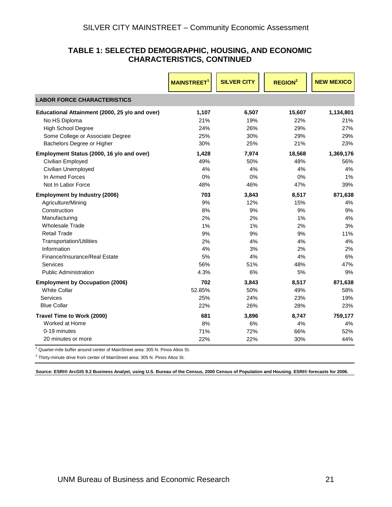#### **TABLE 1: SELECTED DEMOGRAPHIC, HOUSING, AND ECONOMIC CHARACTERISTICS, CONTINUED**

|                                                | <b>MAINSTREET</b> | <b>SILVER CITY</b> | <b>REGION<sup>2</sup></b> | <b>NEW MEXICO</b> |
|------------------------------------------------|-------------------|--------------------|---------------------------|-------------------|
| <b>LABOR FORCE CHARACTERISTICS</b>             |                   |                    |                           |                   |
| Educational Attainment (2000, 25 y/o and over) | 1,107             | 6,507              | 15,607                    | 1,134,801         |
| No HS Diploma                                  | 21%               | 19%                | 22%                       | 21%               |
| <b>High School Degree</b>                      | 24%               | 26%                | 29%                       | 27%               |
| Some College or Associate Degree               | 25%               | 30%                | 29%                       | 29%               |
| Bachelors Degree or Higher                     | 30%               | 25%                | 21%                       | 23%               |
| Employment Status (2000, 16 y/o and over)      | 1,428             | 7,974              | 18,568                    | 1,369,176         |
| Civilian Employed                              | 49%               | 50%                | 48%                       | 56%               |
| Civilian Unemployed                            | 4%                | 4%                 | 4%                        | 4%                |
| In Armed Forces                                | 0%                | 0%                 | 0%                        | 1%                |
| Not In Labor Force                             | 48%               | 46%                | 47%                       | 39%               |
| <b>Employment by Industry (2006)</b>           | 703               | 3,843              | 8,517                     | 871,638           |
| Agriculture/Mining                             | 9%                | 12%                | 15%                       | 4%                |
| Construction                                   | 8%                | 9%                 | 9%                        | 9%                |
| Manufacturing                                  | 2%                | 2%                 | 1%                        | 4%                |
| <b>Wholesale Trade</b>                         | 1%                | 1%                 | 2%                        | 3%                |
| <b>Retail Trade</b>                            | 9%                | 9%                 | 9%                        | 11%               |
| <b>Transportation/Utilities</b>                | 2%                | 4%                 | 4%                        | 4%                |
| Information                                    | 4%                | 3%                 | 2%                        | 2%                |
| Finance/Insurance/Real Estate                  | 5%                | 4%                 | 4%                        | 6%                |
| Services                                       | 56%               | 51%                | 48%                       | 47%               |
| <b>Public Administration</b>                   | 4.3%              | 6%                 | 5%                        | 9%                |
| <b>Employment by Occupation (2006)</b>         | 702               | 3,843              | 8,517                     | 871,638           |
| <b>White Collar</b>                            | 52.85%            | 50%                | 49%                       | 58%               |
| Services                                       | 25%               | 24%                | 23%                       | 19%               |
| <b>Blue Collar</b>                             | 22%               | 26%                | 28%                       | 23%               |
| Travel Time to Work (2000)                     | 681               | 3,896              | 8,747                     | 759,177           |
| Worked at Home                                 | 8%                | 6%                 | 4%                        | 4%                |
| 0-19 minutes                                   | 71%               | 72%                | 66%                       | 52%               |
| 20 minutes or more                             | 22%               | 22%                | 30%                       | 44%               |

<sup>1</sup> Quarter-mile buffer around center of MainStreet area: 305 N. Pinos Altos St.

 $2$  Thirty-minute drive from center of MainStreet area: 305 N. Pinos Altos St.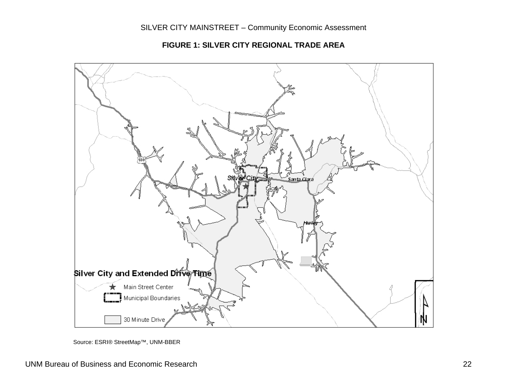Santa Clara Silver City and Extended Drive Time Main Street Center  $\mathbf{I}$  Municipal Boundaries 30 Minute Drive N

**FIGURE 1: SILVER CITY REGIONAL TRADE AREA** 

<span id="page-23-0"></span>Source: ESRI® StreetMap™, UNM-BBER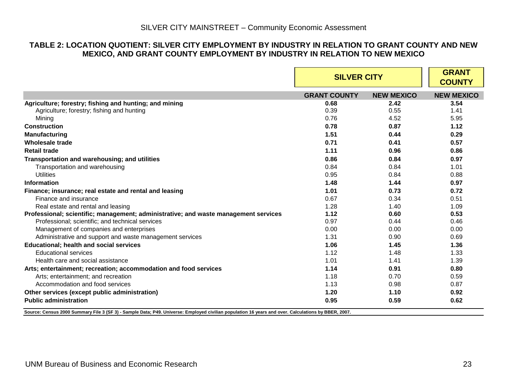#### **TABLE 2: LOCATION QUOTIENT: SILVER CITY EMPLOYMENT BY INDUSTRY IN RELATION TO GRANT COUNTY AND NEW MEXICO, AND GRANT COUNTY EMPLOYMENT BY INDUSTRY IN RELATION TO NEW MEXICO**

|                                                                                     | <b>SILVER CITY</b>  | <b>GRANT</b><br><b>COUNTY</b> |                   |
|-------------------------------------------------------------------------------------|---------------------|-------------------------------|-------------------|
|                                                                                     | <b>GRANT COUNTY</b> | <b>NEW MEXICO</b>             | <b>NEW MEXICO</b> |
| Agriculture; forestry; fishing and hunting; and mining                              | 0.68                | 2.42                          | 3.54              |
| Agriculture; forestry; fishing and hunting                                          | 0.39                | 0.55                          | 1.41              |
| Mining                                                                              | 0.76                | 4.52                          | 5.95              |
| <b>Construction</b>                                                                 | 0.78                | 0.87                          | 1.12              |
| <b>Manufacturing</b>                                                                | 1.51                | 0.44                          | 0.29              |
| Wholesale trade                                                                     | 0.71                | 0.41                          | 0.57              |
| <b>Retail trade</b>                                                                 | 1.11                | 0.96                          | 0.86              |
| Transportation and warehousing; and utilities                                       | 0.86                | 0.84                          | 0.97              |
| Transportation and warehousing                                                      | 0.84                | 0.84                          | 1.01              |
| Utilities                                                                           | 0.95                | 0.84                          | 0.88              |
| <b>Information</b>                                                                  | 1.48                | 1.44                          | 0.97              |
| Finance; insurance; real estate and rental and leasing                              | 1.01                | 0.73                          | 0.72              |
| Finance and insurance                                                               | 0.67                | 0.34                          | 0.51              |
| Real estate and rental and leasing                                                  | 1.28                | 1.40                          | 1.09              |
| Professional; scientific; management; administrative; and waste management services | 1.12                | 0.60                          | 0.53              |
| Professional; scientific; and technical services                                    | 0.97                | 0.44                          | 0.46              |
| Management of companies and enterprises                                             | 0.00                | 0.00                          | 0.00              |
| Administrative and support and waste management services                            | 1.31                | 0.90                          | 0.69              |
| <b>Educational; health and social services</b>                                      | 1.06                | 1.45                          | 1.36              |
| <b>Educational services</b>                                                         | 1.12                | 1.48                          | 1.33              |
| Health care and social assistance                                                   | 1.01                | 1.41                          | 1.39              |
| Arts; entertainment; recreation; accommodation and food services                    | 1.14                | 0.91                          | 0.80              |
| Arts; entertainment; and recreation                                                 | 1.18                | 0.70                          | 0.59              |
| Accommodation and food services                                                     | 1.13                | 0.98                          | 0.87              |
| Other services (except public administration)                                       | 1.20                | 1.10                          | 0.92              |
| <b>Public administration</b>                                                        | 0.95                | 0.59                          | 0.62              |

<span id="page-24-0"></span>**Source: Census 2000 Summary File 3 (SF 3) - Sample Data; P49. Universe: Employed civilian population 16 years and over. Calculations by BBER, 2007.**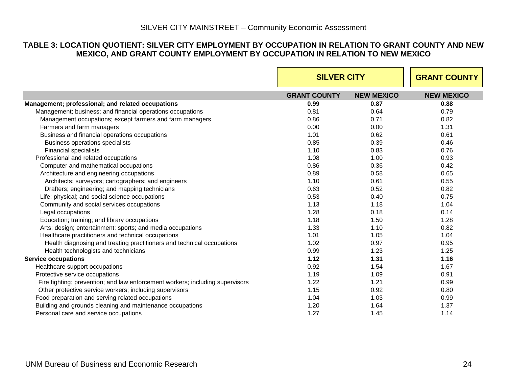#### **TABLE 3: LOCATION QUOTIENT: SILVER CITY EMPLOYMENT BY OCCUPATION IN RELATION TO GRANT COUNTY AND NEW MEXICO, AND GRANT COUNTY EMPLOYMENT BY OCCUPATION IN RELATION TO NEW MEXICO**

<span id="page-25-0"></span>

|                                                                               |                     | <b>SILVER CITY</b> |                   |
|-------------------------------------------------------------------------------|---------------------|--------------------|-------------------|
|                                                                               | <b>GRANT COUNTY</b> | <b>NEW MEXICO</b>  | <b>NEW MEXICO</b> |
| Management; professional; and related occupations                             | 0.99                | 0.87               | 0.88              |
| Management; business; and financial operations occupations                    | 0.81                | 0.64               | 0.79              |
| Management occupations; except farmers and farm managers                      | 0.86                | 0.71               | 0.82              |
| Farmers and farm managers                                                     | 0.00                | 0.00               | 1.31              |
| Business and financial operations occupations                                 | 1.01                | 0.62               | 0.61              |
| Business operations specialists                                               | 0.85                | 0.39               | 0.46              |
| <b>Financial specialists</b>                                                  | 1.10                | 0.83               | 0.76              |
| Professional and related occupations                                          | 1.08                | 1.00               | 0.93              |
| Computer and mathematical occupations                                         | 0.86                | 0.36               | 0.42              |
| Architecture and engineering occupations                                      | 0.89                | 0.58               | 0.65              |
| Architects; surveyors; cartographers; and engineers                           | 1.10                | 0.61               | 0.55              |
| Drafters; engineering; and mapping technicians                                | 0.63                | 0.52               | 0.82              |
| Life; physical; and social science occupations                                | 0.53                | 0.40               | 0.75              |
| Community and social services occupations                                     | 1.13                | 1.18               | 1.04              |
| Legal occupations                                                             | 1.28                | 0.18               | 0.14              |
| Education; training; and library occupations                                  | 1.18                | 1.50               | 1.28              |
| Arts; design; entertainment; sports; and media occupations                    | 1.33                | 1.10               | 0.82              |
| Healthcare practitioners and technical occupations                            | 1.01                | 1.05               | 1.04              |
| Health diagnosing and treating practitioners and technical occupations        | 1.02                | 0.97               | 0.95              |
| Health technologists and technicians                                          | 0.99                | 1.23               | 1.25              |
| <b>Service occupations</b>                                                    | 1.12                | 1.31               | 1.16              |
| Healthcare support occupations                                                | 0.92                | 1.54               | 1.67              |
| Protective service occupations                                                | 1.19                | 1.09               | 0.91              |
| Fire fighting; prevention; and law enforcement workers; including supervisors | 1.22                | 1.21               | 0.99              |
| Other protective service workers; including supervisors                       | 1.15                | 0.92               | 0.80              |
| Food preparation and serving related occupations                              | 1.04                | 1.03               | 0.99              |
| Building and grounds cleaning and maintenance occupations                     | 1.20                | 1.64               | 1.37              |
| Personal care and service occupations                                         | 1.27                | 1.45               | 1.14              |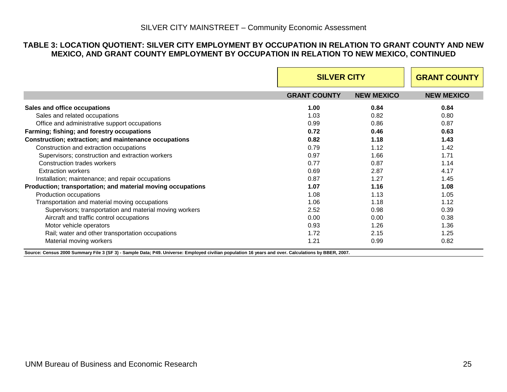#### **TABLE 3: LOCATION QUOTIENT: SILVER CITY EMPLOYMENT BY OCCUPATION IN RELATION TO GRANT COUNTY AND NEW MEXICO, AND GRANT COUNTY EMPLOYMENT BY OCCUPATION IN RELATION TO NEW MEXICO, CONTINUED**

|                                                                                                                                                                          | <b>SILVER CITY</b>  | <b>GRANT COUNTY</b> |                   |
|--------------------------------------------------------------------------------------------------------------------------------------------------------------------------|---------------------|---------------------|-------------------|
|                                                                                                                                                                          | <b>GRANT COUNTY</b> | <b>NEW MEXICO</b>   | <b>NEW MEXICO</b> |
| Sales and office occupations                                                                                                                                             | 1.00                | 0.84                | 0.84              |
| Sales and related occupations                                                                                                                                            | 1.03                | 0.82                | 0.80              |
| Office and administrative support occupations                                                                                                                            | 0.99                | 0.86                | 0.87              |
| Farming; fishing; and forestry occupations                                                                                                                               | 0.72                | 0.46                | 0.63              |
| Construction; extraction; and maintenance occupations                                                                                                                    | 0.82                | 1.18                | 1.43              |
| Construction and extraction occupations                                                                                                                                  | 0.79                | 1.12                | 1.42              |
| Supervisors; construction and extraction workers                                                                                                                         | 0.97                | 1.66                | 1.71              |
| Construction trades workers                                                                                                                                              | 0.77                | 0.87                | 1.14              |
| <b>Extraction workers</b>                                                                                                                                                | 0.69                | 2.87                | 4.17              |
| Installation; maintenance; and repair occupations                                                                                                                        | 0.87                | 1.27                | 1.45              |
| Production; transportation; and material moving occupations                                                                                                              | 1.07                | 1.16                | 1.08              |
| Production occupations                                                                                                                                                   | 1.08                | 1.13                | 1.05              |
| Transportation and material moving occupations                                                                                                                           | 1.06                | 1.18                | 1.12              |
| Supervisors; transportation and material moving workers                                                                                                                  | 2.52                | 0.98                | 0.39              |
| Aircraft and traffic control occupations                                                                                                                                 | 0.00                | 0.00                | 0.38              |
| Motor vehicle operators                                                                                                                                                  | 0.93                | 1.26                | 1.36              |
| Rail; water and other transportation occupations                                                                                                                         | 1.72                | 2.15                | 1.25              |
| Material moving workers<br>Source: Concus 2000 Summery Eile 2 (SE 2) Somple Data: R40 Universa: Employed civilian population 16 years and over Coloulations by RPER 2007 | 1.21                | 0.99                | 0.82              |

**Source: Census 2000 Summary File 3 (SF 3) - Sample Data; P49. Universe: Employed civilian population 16 years and over. Calculations by BBER, 2007.**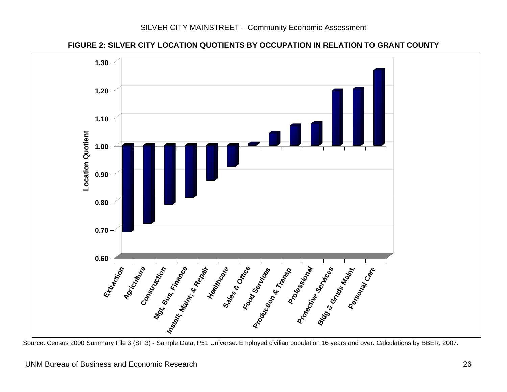



<span id="page-27-0"></span>Source: Census 2000 Summary File 3 (SF 3) - Sample Data; P51 Universe: Employed civilian population 16 years and over. Calculations by BBER, 2007.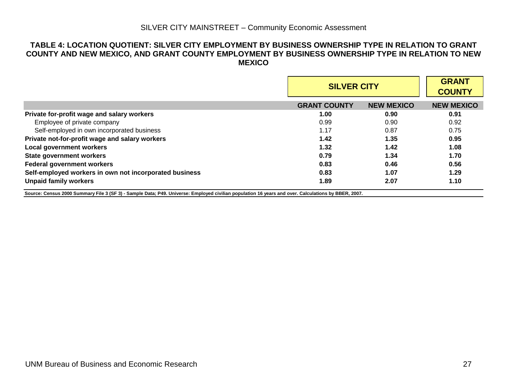#### **TABLE 4: LOCATION QUOTIENT: SILVER CITY EMPLOYMENT BY BUSINESS OWNERSHIP TYPE IN RELATION TO GRANT COUNTY AND NEW MEXICO, AND GRANT COUNTY EMPLOYMENT BY BUSINESS OWNERSHIP TYPE IN RELATION TO NEW MEXICO**

|                                                        |                     | <b>SILVER CITY</b> |                   |  |
|--------------------------------------------------------|---------------------|--------------------|-------------------|--|
|                                                        | <b>GRANT COUNTY</b> | <b>NEW MEXICO</b>  | <b>NEW MEXICO</b> |  |
| Private for-profit wage and salary workers             | 1.00                | 0.90               | 0.91              |  |
| Employee of private company                            | 0.99                | 0.90               | 0.92              |  |
| Self-employed in own incorporated business             | 1.17                | 0.87               | 0.75              |  |
| Private not-for-profit wage and salary workers         | 1.42                | 1.35               | 0.95              |  |
| <b>Local government workers</b>                        | 1.32                | 1.42               | 1.08              |  |
| <b>State government workers</b>                        | 0.79                | 1.34               | 1.70              |  |
| <b>Federal government workers</b>                      | 0.83                | 0.46               | 0.56              |  |
| Self-employed workers in own not incorporated business | 0.83                | 1.07               | 1.29              |  |
| <b>Unpaid family workers</b>                           | 1.89                | 2.07               | 1.10              |  |

<span id="page-28-0"></span>**Source: Census 2000 Summary File 3 (SF 3) - Sample Data; P49. Universe: Employed civilian population 16 years and over. Calculations by BBER, 2007.**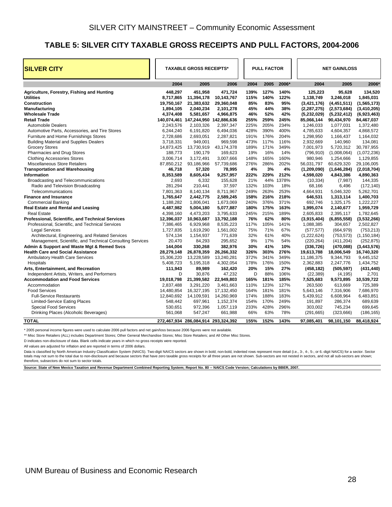#### <span id="page-29-0"></span>**TABLE 5: SILVER CITY TAXABLE GROSS RECEIPTS AND PULL FACTORS, 2004-2006**

| <b>SILVER CITY</b>                                                     | <b>TAXABLE GROSS RECEIPTS*</b> |                                     |                         | <b>PULL FACTOR</b> |              | <b>NET GAIN/LOSS</b> |              |                        |                      |                       |
|------------------------------------------------------------------------|--------------------------------|-------------------------------------|-------------------------|--------------------|--------------|----------------------|--------------|------------------------|----------------------|-----------------------|
|                                                                        | 2004                           | 2005                                | 2006                    |                    | 2004         | 2005                 | 2006*        | 2004                   | 2005                 | 2006*                 |
| Agriculture, Forestry, Fishing and Hunting                             | 448.297                        | 451.958                             | 471.724                 |                    | 139%         | 127%                 | 140%         | 125,223                | 95.628               | 134.520               |
| <b>Utilities</b>                                                       | 8,717,865                      | 11,394,178                          | 10,143,767              |                    | 115%         | 140%                 | 122%         | 1,138,749              | 3,246,018            | 1,845,031             |
| <b>Construction</b>                                                    | 19,750,167                     | 21,383,632                          | 29,360,048              |                    | 85%          | 83%                  | 95%          | (3,421,176)            | (4,451,511)          | (1, 565, 173)         |
| Manufacturing                                                          | 1,894,105                      | 2,040,234                           | 2,101,278               |                    | 45%          | 44%                  | 38%          | (2, 287, 275)          | (2,573,684)          | (3, 410, 205)         |
| <b>Wholesale Trade</b>                                                 | 4,374,408                      | 5,581,657                           | 4,966,875               |                    | 46%          | 52%                  | 42%          | (5, 232, 029)          | (5,232,412)          | (6,923,463)           |
| <b>Retail Trade</b>                                                    |                                | 140,074,461 147,244,950 142,886,636 |                         |                    | 255%         | 259%                 | 245%         | 85,066,144             | 90,434,970           | 84,467,037            |
| <b>Automobile Dealers</b>                                              | 2,243,576                      | 2,103,326                           | 2,397,347               |                    | 225%         | 205%                 | 234%         | 1,246,033              | 1,077,031            | 1,372,480             |
| Automotive Parts, Accessories, and Tire Stores                         | 6,244,240                      | 6,191,820                           | 6,494,036               |                    | 428%         | 390%                 | 400%         | 4,785,633              | 4,604,357            | 4,868,572             |
| Furniture and Home Furnishings Stores                                  | 2,728,686                      | 2,693,051                           | 2,287,821               |                    | 191%<br>473% | 176%<br>117%         | 204%         | 1,298,950              | 1,166,437            | 1,164,032             |
| <b>Building Material and Supplies Dealers</b><br><b>Grocery Stores</b> | 3,718,331<br>14,873,425        | 949,001<br>13,730,919               | 969,598<br>43,174,378   |                    | 189%         | 171%                 | 116%<br>349% | 2,932,669<br>7,001,973 | 140,960<br>5,720,312 | 134,081<br>30,787,955 |
| Pharmacies and Drug Stores                                             | 188,773                        | 190,179                             | 169,623                 |                    | 19%          | 16%                  | 14%          | (796, 910)             | (1,008,064)          | (1,072,236)           |
| <b>Clothing Accessories Stores</b>                                     | 3,006,714                      | 3,172,491                           | 3,007,666               |                    | 148%         | 165%                 | 160%         | 980,946                | 1,254,666            | 1,129,855             |
| Miscellaneous Store Retailers                                          | 87,850,212                     | 93,186,966                          | 57,739,686              |                    | 276%         | 286%                 | 202%         | 56,031,797             | 60,629,320           | 29,106,005            |
| <b>Transportation and Warehousing</b>                                  | 46,718                         | 57,320                              | 78,995                  |                    | 4%           | 3%                   | 4%           | (1,209,090)            | (1,646,284)          | (2,018,704)           |
| Information                                                            | 8,353,589                      | 8,605,434                           | 9,257,957               |                    | 222%         | 229%                 | 212%         | 4,598,020              | 4,843,386            | 4,890,363             |
| Broadcasting and Telecommunications                                    | 2,693                          | 6,332                               | 155,628                 |                    | 21%          | 44%                  | 1378%        | (10, 334)              | (7, 987)             | 144,335               |
| Radio and Television Broadcasting                                      | 281,294                        | 210,441                             | 37,597                  |                    | 132%         | 103%                 | 18%          | 68,166                 | 6,496                | (172, 140)            |
| Telecommunications                                                     | 7,801,363                      | 8,140,134                           | 8,711,967               |                    | 249%         | 263%                 | 253%         | 4,664,931              | 5,046,320            | 5,262,701             |
| <b>Finance and Insurance</b>                                           | 1,765,647                      | 2,442,775                           | 2,589,245               |                    | 158%         | 216%                 | 218%         | 646,531                | 1,313,114            | 1,400,703             |
| <b>Commercial Banking</b>                                              | 1,188,282                      | 1,806,041                           | 1,673,069               |                    | 240%         | 376%                 | 371%         | 692,746                | 1,325,175            | 1,222,227             |
| <b>Real Estate and Rental and Leasing</b>                              | 4,487,982                      | 5,004,180                           | 5,077,887               |                    | 180%         | 175%                 | 163%         | 1,995,074              | 2,140,677            | 1,959,729             |
| <b>Real Estate</b>                                                     | 4,398,160                      | 4,473,203                           | 3,795,633               |                    | 245%         | 215%                 | 189%         | 2,605,833              | 2,395,117            | 1,782,645             |
| Professional, Scientific, and Technical Services                       | 12,396,037                     | 10,963,687                          | 13,792,188              |                    | 76%          | 62%                  | 80%          | (3,915,404)            | (6, 855, 558)        | (3,532,266)           |
| Professional, Scientific, and Technical Services                       | 7,386,465                      | 6,929,968                           | 8,535,223               |                    | 117%         | 105%                 | 141%         | 1,088,385              | 304,657              | 2,502,827             |
| <b>Legal Services</b>                                                  | 1,727,835                      | 1,619,290                           | 1,561,002               |                    | 75%          | 71%                  | 67%          | (577, 577)             | (664, 979)           | (753, 213)            |
| Architectural, Engineering, and Related Services                       | 574,134                        | 1,154,937                           | 771,639                 |                    | 32%          | 61%                  | 40%          | (1,222,624)            | (753, 573)           | (1, 150, 184)         |
| Management, Scientific, and Technical Consulting Services              | 20,470                         | 84,293                              | 295,652                 |                    | 9%           | 17%                  | 54%          | (220, 264)             | (411, 204)           | (252, 875)            |
| Admin & Support and Waste Mgt & Remed Svcs                             | 144,004                        | 330,268                             | 382,976                 |                    | 30%          | 41%                  | 10%          | (336, 726)             | (470,088)            | (3,443,576)           |
| <b>Health Care and Social Assistance</b>                               | 28,279,148                     | 26,878,359                          | 26,266,332              |                    | 326%         | 303%                 | 276%         | 19,613,788             | 18,006,549           | 16,740,320            |
| <b>Ambulatory Health Care Services</b>                                 | 15,306,220                     | 13,228,589                          | 13,240,281              |                    | 372%         | 341%                 | 349%         | 11,186,375             | 9,344,793            | 9,445,152             |
| Hospitals                                                              | 5,408,723                      | 5,195,318                           | 4,302,054               |                    | 178%         | 176%                 | 150%         | 2,362,883              | 2,247,776            | 1,434,752             |
| Arts, Entertainment, and Recreation                                    | 111,943                        | 89,989                              | 162,420                 |                    | 20%          | 15%                  | 27%          | (458, 182)             | (505, 597)           | (431, 440)            |
| Independent Artists, Writers, and Performers                           | D                              | 30,876                              | 47,232                  |                    | D            | 88%                  | 106%         | (22, 389)              | (4, 195)             | 2,701                 |
| <b>Accommodation and Food Services</b>                                 | 19,018,798                     | 21,399,582                          | 22,949,803              |                    | 165%         | 181%                 | 185%         | 7,525,683              | 9,573,895            | 10,539,722            |
| Accommodation                                                          | 2,837,488                      | 3,291,220                           | 3,461,663               |                    | 110%         | 123%                 | 127%         | 263,500                | 613,669              | 725,389               |
| <b>Food Services</b>                                                   | 14,480,854                     | 16,327,195                          | 17,132,450              |                    | 164%         | 181%                 | 181%         | 5,643,146              | 7,316,906            | 7,686,970             |
| <b>Full-Service Restaurants</b>                                        | 12,840,692<br>548,442          | 14,109,591<br>697,961               | 14,260,969<br>1,152,374 |                    | 174%<br>154% | 188%<br>170%         | 183%<br>249% | 5,439,912              | 6,608,964<br>286,374 | 6,483,851<br>689,639  |
| <b>Limited-Service Eating Places</b><br><b>Special Food Services</b>   |                                | 972,396                             | 1,057,119               |                    | 233%         | 428%                 | 296%         | 191,897<br>303,002     | 745,234              | 699,645               |
| Drinking Places (Alcoholic Beverages)                                  | 530,651<br>561,068             | 547,247                             | 661,988                 |                    | 66%          | 63%                  | 78%          | (291, 665)             | (323, 666)           | (186, 165)            |
|                                                                        |                                |                                     |                         |                    |              |                      |              |                        |                      |                       |
| <b>TOTAL</b>                                                           |                                | 272,467,934 286,084,914 293,324,392 |                         |                    | 155%         | 152%                 | 143%         | 97,085,401             | 98,101,150           | 88,418,924            |

\* 2005 personal income figures were used to calculate 2006 pull factors and net gain/loss because 2006 figures were not available.

\*\* Misc Store Retailers (ALL) includes Department Stores; Other General Merchandise Stores; Misc Store Retailers; and All Other Misc Stores.

D indicates non-disclosure of data. Blank cells indicate years in which no gross receipts were reported.

All values are adjusted for inflation and are reported in terms of 2006 dollars.

Data is classified by North American Industry Classification System (NAICS). Two-digit NAICS sectors are shown in bold; non-bold, indented rows represent more detail (i.e., 3-, 4-, 5-, or 6.-digit NAICS) for a sector. Sect totals may not sum to the total due to non-disclosure and because sectors that have zero taxable gross receipts for all three years are not shown. Sub-sectors are not nested in sectors, and not all sub-sectors are shown; therefore, subsectors do not sum to sector totals.

**Source: State of New Mexico Taxation and Revenue Department Combined Reporting System; Report No. 80 -- NAICS Code Version; Calculations by BBER, 2007.**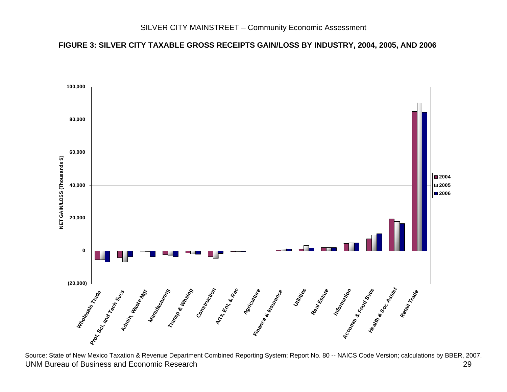#### **FIGURE 3: SILVER CITY TAXABLE GROSS RECEIPTS GAIN/LOSS BY INDUSTRY, 2004, 2005, AND 2006**



<span id="page-30-0"></span> UNM Bureau of Business and Economic Research 29 29 Source: State of New Mexico Taxation & Revenue Department Combined Reporting System; Report No. 80 -- NAICS Code Version; calculations by BBER, 2007.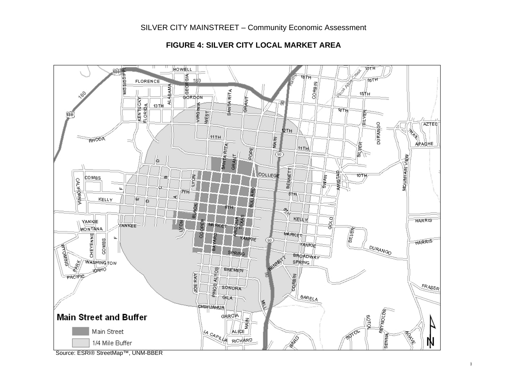

# **FIGURE 4: SILVER CITY LOCAL MARKET AREA**

<span id="page-31-0"></span>Source: ESRI® StreetMap™, UNM-BBER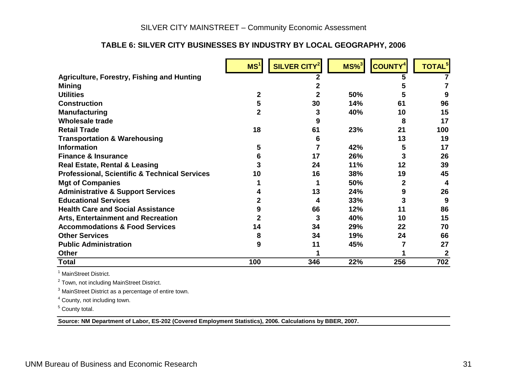## **TABLE 6: SILVER CITY BUSINESSES BY INDUSTRY BY LOCAL GEOGRAPHY, 2006**

|                                                          | MS <sup>1</sup> | SILVER CITY <sup>2</sup> | $MS\%$ <sup>3</sup> | <b>COUNTY<sup>4</sup></b> | <b>TOTAL</b> <sup>5</sup> |
|----------------------------------------------------------|-----------------|--------------------------|---------------------|---------------------------|---------------------------|
| <b>Agriculture, Forestry, Fishing and Hunting</b>        |                 |                          |                     |                           |                           |
| <b>Mining</b>                                            |                 |                          |                     |                           |                           |
| <b>Utilities</b>                                         | 2               |                          | 50%                 |                           |                           |
| <b>Construction</b>                                      | 5               | 30                       | 14%                 | 61                        | 96                        |
| <b>Manufacturing</b>                                     | 2               | 3                        | 40%                 | 10                        | 15                        |
| <b>Wholesale trade</b>                                   |                 |                          |                     | 8                         | 17                        |
| <b>Retail Trade</b>                                      | 18              | 61                       | 23%                 | 21                        | 100                       |
| <b>Transportation &amp; Warehousing</b>                  |                 | h                        |                     | 13                        | 19                        |
| <b>Information</b>                                       | 5               |                          | 42%                 | 5                         | 17                        |
| <b>Finance &amp; Insurance</b>                           | 6               | 17                       | 26%                 | 3                         | 26                        |
| <b>Real Estate, Rental &amp; Leasing</b>                 |                 | 24                       | 11%                 | 12                        | 39                        |
| <b>Professional, Scientific &amp; Technical Services</b> | 10              | 16                       | 38%                 | 19                        | 45                        |
| <b>Mgt of Companies</b>                                  |                 |                          | 50%                 | 2                         | 4                         |
| <b>Administrative &amp; Support Services</b>             |                 | 13                       | 24%                 | 9                         | 26                        |
| <b>Educational Services</b>                              |                 | 4                        | 33%                 |                           | 9                         |
| <b>Health Care and Social Assistance</b>                 |                 | 66                       | 12%                 | 11                        | 86                        |
| <b>Arts, Entertainment and Recreation</b>                |                 | 3                        | 40%                 | 10                        | 15                        |
| <b>Accommodations &amp; Food Services</b>                | 14              | 34                       | 29%                 | 22                        | 70                        |
| <b>Other Services</b>                                    | 8               | 34                       | 19%                 | 24                        | 66                        |
| <b>Public Administration</b>                             | 9               | 11                       | 45%                 |                           | 27                        |
| <b>Other</b>                                             |                 |                          |                     |                           |                           |
| Total                                                    | 100             | 346                      | 22%                 | 256                       | 702                       |

<sup>1</sup> MainStreet District.

2 Town, not including MainStreet District.

3 MainStreet District as a percentage of entire town.

<sup>4</sup> County, not including town.

5 County total.

<span id="page-32-0"></span>**Source: NM Department of Labor, ES-202 (Covered Employment Statistics), 2006. Calculations by BBER, 2007.**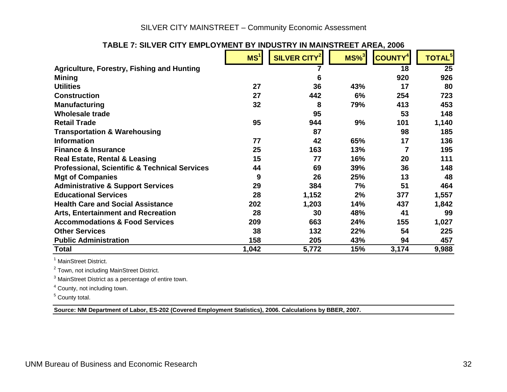## SILVER CITY MAINSTREET – Community Economic Assessment

| LIVIL LV LIVILIV L                                       |                 |                          | IN MAINOTNEET ANEA, 2000 |                            |                          |
|----------------------------------------------------------|-----------------|--------------------------|--------------------------|----------------------------|--------------------------|
|                                                          | MS <sup>1</sup> | SILVER CITY <sup>2</sup> | $MS\%$ <sup>3</sup>      | <b>COUNTY</b> <sup>4</sup> | <b>TOTAL<sup>5</sup></b> |
| <b>Agriculture, Forestry, Fishing and Hunting</b>        |                 |                          |                          | 18                         | 25                       |
| <b>Mining</b>                                            |                 | 6                        |                          | 920                        | 926                      |
| <b>Utilities</b>                                         | 27              | 36                       | 43%                      | 17                         | 80                       |
| <b>Construction</b>                                      | 27              | 442                      | 6%                       | 254                        | 723                      |
| <b>Manufacturing</b>                                     | 32              | 8                        | 79%                      | 413                        | 453                      |
| Wholesale trade                                          |                 | 95                       |                          | 53                         | 148                      |
| <b>Retail Trade</b>                                      | 95              | 944                      | 9%                       | 101                        | 1,140                    |
| <b>Transportation &amp; Warehousing</b>                  |                 | 87                       |                          | 98                         | 185                      |
| <b>Information</b>                                       | 77              | 42                       | 65%                      | 17                         | 136                      |
| <b>Finance &amp; Insurance</b>                           | 25              | 163                      | 13%                      | 7                          | 195                      |
| <b>Real Estate, Rental &amp; Leasing</b>                 | 15              | 77                       | 16%                      | 20                         | 111                      |
| <b>Professional, Scientific &amp; Technical Services</b> | 44              | 69                       | 39%                      | 36                         | 148                      |
| <b>Mgt of Companies</b>                                  | 9               | 26                       | 25%                      | 13                         | 48                       |
| <b>Administrative &amp; Support Services</b>             | 29              | 384                      | 7%                       | 51                         | 464                      |
| <b>Educational Services</b>                              | 28              | 1,152                    | 2%                       | 377                        | 1,557                    |
| <b>Health Care and Social Assistance</b>                 | 202             | 1,203                    | 14%                      | 437                        | 1,842                    |
| <b>Arts, Entertainment and Recreation</b>                | 28              | 30                       | 48%                      | 41                         | 99                       |
| <b>Accommodations &amp; Food Services</b>                | 209             | 663                      | 24%                      | 155                        | 1,027                    |
| <b>Other Services</b>                                    | 38              | 132                      | 22%                      | 54                         | 225                      |
| <b>Public Administration</b>                             | 158             | 205                      | 43%                      | 94                         | 457                      |
| <b>Total</b>                                             | 1,042           | 5,772                    | 15%                      | 3,174                      | 9,988                    |

#### **TABLE 7: SILVER CITY EMPLOYMENT BY INDUSTRY IN MAINSTREET AREA, 2006**

<sup>1</sup> MainStreet District.

2 Town, not including MainStreet District.

3 MainStreet District as a percentage of entire town.

<sup>4</sup> County, not including town.

5 County total.

<span id="page-33-0"></span>**Source: NM Department of Labor, ES-202 (Covered Employment Statistics), 2006. Calculations by BBER, 2007.**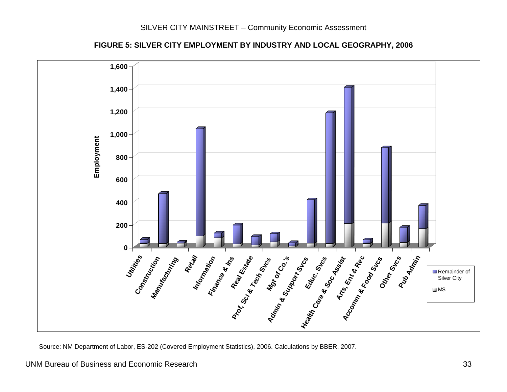



<span id="page-34-0"></span>Source: NM Department of Labor, ES-202 (Covered Employment Statistics), 2006. Calculations by BBER, 2007.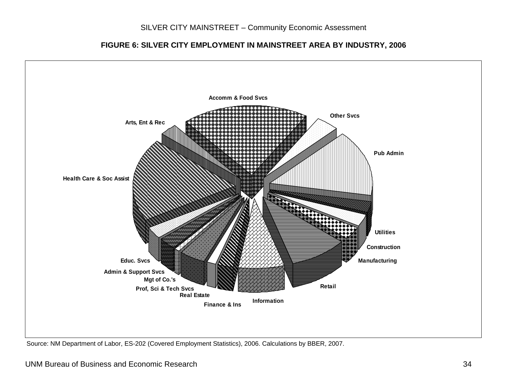**FIGURE 6: SILVER CITY EMPLOYMENT IN MAINSTREET AREA BY INDUSTRY, 2006**



Source: NM Department of Labor, ES-202 (Covered Employment Statistics), 2006. Calculations by BBER, 2007.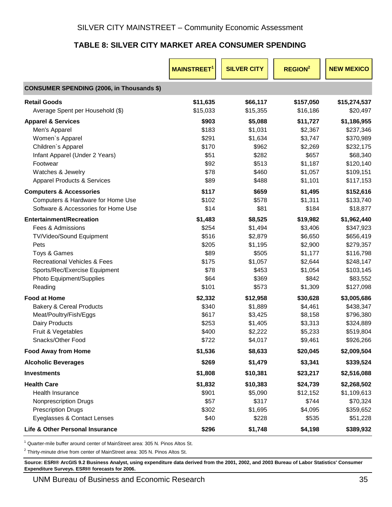# **TABLE 8: SILVER CITY MARKET AREA CONSUMER SPENDING**

<span id="page-36-0"></span>

|                                                  | <b>MAINSTREET</b> | <b>SILVER CITY</b> | <b>REGION<sup>2</sup></b> | <b>NEW MEXICO</b> |
|--------------------------------------------------|-------------------|--------------------|---------------------------|-------------------|
| <b>CONSUMER SPENDING (2006, in Thousands \$)</b> |                   |                    |                           |                   |
| <b>Retail Goods</b>                              | \$11,635          | \$66,117           | \$157,050                 | \$15,274,537      |
| Average Spent per Household (\$)                 | \$15,033          | \$15,355           | \$16,186                  | \$20,497          |
| <b>Apparel &amp; Services</b>                    | \$903             | \$5,088            | \$11,727                  | \$1,186,955       |
| Men's Apparel                                    | \$183             | \$1,031            | \$2,367                   | \$237,346         |
| Women's Apparel                                  | \$291             | \$1,634            | \$3,747                   | \$370,989         |
| Children's Apparel                               | \$170             | \$962              | \$2,269                   | \$232,175         |
| Infant Apparel (Under 2 Years)                   | \$51              | \$282              | \$657                     | \$68,340          |
| Footwear                                         | \$92              | \$513              | \$1,187                   | \$120,140         |
| Watches & Jewelry                                | \$78              | \$460              | \$1,057                   | \$109,151         |
| <b>Apparel Products &amp; Services</b>           | \$89              | \$488              | \$1,101                   | \$117,153         |
| <b>Computers &amp; Accessories</b>               | \$117             | \$659              | \$1,495                   | \$152,616         |
| Computers & Hardware for Home Use                | \$102             | \$578              | \$1,311                   | \$133,740         |
| Software & Accessories for Home Use              | \$14              | \$81               | \$184                     | \$18,877          |
| <b>Entertainment/Recreation</b>                  | \$1,483           | \$8,525            | \$19,982                  | \$1,962,440       |
| Fees & Admissions                                | \$254             | \$1,494            | \$3,406                   | \$347,923         |
| TV/Video/Sound Equipment                         | \$516             | \$2,879            | \$6,650                   | \$656,419         |
| Pets                                             | \$205             | \$1,195            | \$2,900                   | \$279,357         |
| Toys & Games                                     | \$89              | \$505              | \$1,177                   | \$116,798         |
| <b>Recreational Vehicles &amp; Fees</b>          | \$175             | \$1,057            | \$2,644                   | \$248,147         |
| Sports/Rec/Exercise Equipment                    | \$78              | \$453              | \$1,054                   | \$103,145         |
| Photo Equipment/Supplies                         | \$64              | \$369              | \$842                     | \$83,552          |
| Reading                                          | \$101             | \$573              | \$1,309                   | \$127,098         |
| <b>Food at Home</b>                              | \$2,332           | \$12,958           | \$30,628                  | \$3,005,686       |
| <b>Bakery &amp; Cereal Products</b>              | \$340             | \$1,889            | \$4,461                   | \$438,347         |
| Meat/Poultry/Fish/Eggs                           | \$617             | \$3,425            | \$8,158                   | \$796,380         |
| Dairy Products                                   | \$253             | \$1,405            | \$3,313                   | \$324,889         |
| Fruit & Vegetables                               | \$400             | \$2,222            | \$5,233                   | \$519,804         |
| Snacks/Other Food                                | \$722             | \$4,017            | \$9,461                   | \$926,266         |
| <b>Food Away from Home</b>                       | \$1,536           | \$8,633            | \$20,045                  | \$2,009,504       |
| <b>Alcoholic Beverages</b>                       | \$269             | \$1,479            | \$3,341                   | \$339,524         |
| <b>Investments</b>                               | \$1,808           | \$10,381           | \$23,217                  | \$2,516,088       |
| <b>Health Care</b>                               | \$1,832           | \$10,383           | \$24,739                  | \$2,268,502       |
| <b>Health Insurance</b>                          | \$901             | \$5,090            | \$12,152                  | \$1,109,613       |
| <b>Nonprescription Drugs</b>                     | \$57              | \$317              | \$744                     | \$70,324          |
| <b>Prescription Drugs</b>                        | \$302             | \$1,695            | \$4,095                   | \$359,652         |
| Eyeglasses & Contact Lenses                      | \$40              | \$228              | \$535                     | \$51,228          |
| Life & Other Personal Insurance                  | \$296             | \$1,748            | \$4,198                   | \$389,932         |

<sup>1</sup> Quarter-mile buffer around center of MainStreet area: 305 N. Pinos Altos St.

 $2$  Thirty-minute drive from center of MainStreet area: 305 N. Pinos Altos St.

**Source: ESRI® ArcGIS 9.2 Business Analyst, using expenditure data derived from the 2001, 2002, and 2003 Bureau of Labor Statistics' Consumer Expenditure Surveys. ESRI® forecasts for 2006.**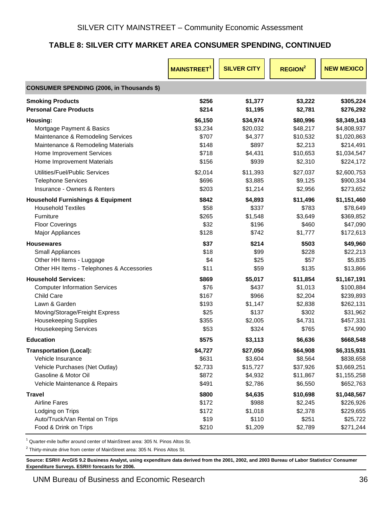# **TABLE 8: SILVER CITY MARKET AREA CONSUMER SPENDING, CONTINUED**

|                                                  | <b>MAINSTREET</b> | <b>SILVER CITY</b> | <b>REGION<sup>2</sup></b> | <b>NEW MEXICO</b> |
|--------------------------------------------------|-------------------|--------------------|---------------------------|-------------------|
| <b>CONSUMER SPENDING (2006, in Thousands \$)</b> |                   |                    |                           |                   |
| <b>Smoking Products</b>                          | \$256             | \$1,377            | \$3,222                   | \$305,224         |
| <b>Personal Care Products</b>                    | \$214             | \$1,195            | \$2,781                   | \$276,292         |
| Housing:                                         | \$6,150           | \$34,974           | \$80,996                  | \$8,349,143       |
| Mortgage Payment & Basics                        | \$3,234           | \$20,032           | \$48,217                  | \$4,808,937       |
| Maintenance & Remodeling Services                | \$707             | \$4,377            | \$10,532                  | \$1,020,863       |
| Maintenance & Remodeling Materials               | \$148             | \$897              | \$2,213                   | \$214,491         |
| Home Improvement Services                        | \$718             | \$4,431            | \$10,653                  | \$1,034,547       |
| Home Improvement Materials                       | \$156             | \$939              | \$2,310                   | \$224,172         |
| Utilities/Fuel/Public Services                   | \$2,014           | \$11,393           | \$27,037                  | \$2,600,753       |
| <b>Telephone Services</b>                        | \$696             | \$3,885            | \$9,125                   | \$900,334         |
| Insurance - Owners & Renters                     | \$203             | \$1,214            | \$2,956                   | \$273,652         |
| <b>Household Furnishings &amp; Equipment</b>     | \$842             | \$4,893            | \$11,496                  | \$1,151,460       |
| <b>Household Textiles</b>                        | \$58              | \$337              | \$783                     | \$78,649          |
| Furniture                                        | \$265             | \$1,548            | \$3,649                   | \$369,852         |
| <b>Floor Coverings</b>                           | \$32              | \$196              | \$460                     | \$47,090          |
| <b>Major Appliances</b>                          | \$128             | \$742              | \$1,777                   | \$172,613         |
| <b>Housewares</b>                                | \$37              | \$214              | \$503                     | \$49,960          |
| Small Appliances                                 | \$18              | \$99               | \$228                     | \$22,213          |
| Other HH Items - Luggage                         | \$4               | \$25               | \$57                      | \$5,835           |
| Other HH Items - Telephones & Accessories        | \$11              | \$59               | \$135                     | \$13,866          |
| <b>Household Services:</b>                       | \$869             | \$5,017            | \$11,854                  | \$1,167,191       |
| <b>Computer Information Services</b>             | \$76              | \$437              | \$1,013                   | \$100,884         |
| Child Care                                       | \$167             | \$966              | \$2,204                   | \$239,893         |
| Lawn & Garden                                    | \$193             | \$1,147            | \$2,838                   | \$262,131         |
| Moving/Storage/Freight Express                   | \$25              | \$137              | \$302                     | \$31,962          |
| <b>Housekeeping Supplies</b>                     | \$355             | \$2,005            | \$4,731                   | \$457,331         |
| <b>Housekeeping Services</b>                     | \$53              | \$324              | \$765                     | \$74,990          |
| <b>Education</b>                                 | \$575             | \$3,113            | \$6,636                   | \$668,548         |
| <b>Transportation (Local):</b>                   | \$4,727           | \$27,050           | \$64,908                  | \$6,315,931       |
| Vehicle Insurance                                | \$631             | \$3,604            | \$8,564                   | \$838,658         |
| Vehicle Purchases (Net Outlay)                   | \$2,733           | \$15,727           | \$37,926                  | \$3,669,251       |
| Gasoline & Motor Oil                             | \$872             | \$4,932            | \$11,867                  | \$1,155,258       |
| Vehicle Maintenance & Repairs                    | \$491             | \$2,786            | \$6,550                   | \$652,763         |
| <b>Travel</b>                                    | \$800             | \$4,635            | \$10,698                  | \$1,048,567       |
| <b>Airline Fares</b>                             | \$172             | \$988              | \$2,245                   | \$226,926         |
| Lodging on Trips                                 | \$172             | \$1,018            | \$2,378                   | \$229,655         |
| Auto/Truck/Van Rental on Trips                   | \$19              | \$110              | \$251                     | \$25,722          |
| Food & Drink on Trips                            | \$210             | \$1,209            | \$2,789                   | \$271,244         |

<sup>1</sup> Quarter-mile buffer around center of MainStreet area: 305 N. Pinos Altos St.

 $2$  Thirty-minute drive from center of MainStreet area: 305 N. Pinos Altos St.

**Source: ESRI® ArcGIS 9.2 Business Analyst, using expenditure data derived from the 2001, 2002, and 2003 Bureau of Labor Statistics' Consumer Expenditure Surveys. ESRI® forecasts for 2006.**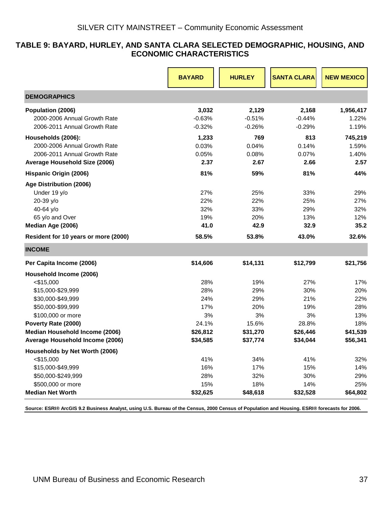#### <span id="page-38-0"></span>**TABLE 9: BAYARD, HURLEY, AND SANTA CLARA SELECTED DEMOGRAPHIC, HOUSING, AND ECONOMIC CHARACTERISTICS**

|                                      | <b>BAYARD</b> | <b>HURLEY</b> | <b>SANTA CLARA</b> | <b>NEW MEXICO</b> |
|--------------------------------------|---------------|---------------|--------------------|-------------------|
| <b>DEMOGRAPHICS</b>                  |               |               |                    |                   |
| Population (2006)                    | 3,032         | 2,129         | 2,168              | 1,956,417         |
| 2000-2006 Annual Growth Rate         | $-0.63%$      | $-0.51%$      | $-0.44%$           | 1.22%             |
| 2006-2011 Annual Growth Rate         | $-0.32%$      | $-0.26%$      | $-0.29%$           | 1.19%             |
| Households (2006):                   | 1,233         | 769           | 813                | 745,219           |
| 2000-2006 Annual Growth Rate         | 0.03%         | 0.04%         | 0.14%              | 1.59%             |
| 2006-2011 Annual Growth Rate         | 0.05%         | 0.08%         | 0.07%              | 1.40%             |
| Average Household Size (2006)        | 2.37          | 2.67          | 2.66               | 2.57              |
| Hispanic Origin (2006)               | 81%           | 59%           | 81%                | 44%               |
| Age Distribution (2006)              |               |               |                    |                   |
| Under 19 y/o                         | 27%           | 25%           | 33%                | 29%               |
| 20-39 y/o                            | 22%           | 22%           | 25%                | 27%               |
| 40-64 y/o                            | 32%           | 33%           | 29%                | 32%               |
| 65 y/o and Over                      | 19%           | 20%           | 13%                | 12%               |
| Median Age (2006)                    | 41.0          | 42.9          | 32.9               | 35.2              |
| Resident for 10 years or more (2000) | 58.5%         | 53.8%         | 43.0%              | 32.6%             |
| <b>INCOME</b>                        |               |               |                    |                   |
| Per Capita Income (2006)             | \$14,606      | \$14,131      | \$12,799           | \$21,756          |
| Household Income (2006)              |               |               |                    |                   |
| $<$ \$15,000                         | 28%           | 19%           | 27%                | 17%               |
| \$15,000-\$29,999                    | 28%           | 29%           | 30%                | 20%               |
| \$30,000-\$49,999                    | 24%           | 29%           | 21%                | 22%               |
| \$50,000-\$99,999                    | 17%           | 20%           | 19%                | 28%               |
| \$100,000 or more                    | 3%            | 3%            | 3%                 | 13%               |
| Poverty Rate (2000)                  | 24.1%         | 15.6%         | 28.8%              | 18%               |
| Median Household Income (2006)       | \$26,812      | \$31,270      | \$26,446           | \$41,539          |
| Average Household Income (2006)      | \$34,585      | \$37,774      | \$34,044           | \$56,341          |
| Households by Net Worth (2006)       |               |               |                    |                   |
| $<$ \$15,000                         | 41%           | 34%           | 41%                | 32%               |
| \$15,000-\$49,999                    | 16%           | 17%           | 15%                | 14%               |
| \$50,000-\$249,999                   | 28%           | 32%           | 30%                | 29%               |
| \$500,000 or more                    | 15%           | 18%           | 14%                | 25%               |
| <b>Median Net Worth</b>              | \$32,625      | \$48,618      | \$32,528           | \$64,802          |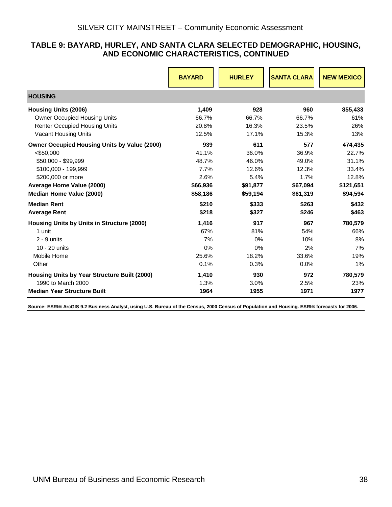#### **TABLE 9: BAYARD, HURLEY, AND SANTA CLARA SELECTED DEMOGRAPHIC, HOUSING, AND ECONOMIC CHARACTERISTICS, CONTINUED**

|                                                     | <b>BAYARD</b> | <b>HURLEY</b> | <b>SANTA CLARA</b> | <b>NEW MEXICO</b> |
|-----------------------------------------------------|---------------|---------------|--------------------|-------------------|
| <b>HOUSING</b>                                      |               |               |                    |                   |
| <b>Housing Units (2006)</b>                         | 1,409         | 928           | 960                | 855,433           |
| <b>Owner Occupied Housing Units</b>                 | 66.7%         | 66.7%         | 66.7%              | 61%               |
| <b>Renter Occupied Housing Units</b>                | 20.8%         | 16.3%         | 23.5%              | 26%               |
| <b>Vacant Housing Units</b>                         | 12.5%         | 17.1%         | 15.3%              | 13%               |
| <b>Owner Occupied Housing Units by Value (2000)</b> | 939           | 611           | 577                | 474,435           |
| $<$ \$50,000                                        | 41.1%         | 36.0%         | 36.9%              | 22.7%             |
| \$50,000 - \$99,999                                 | 48.7%         | 46.0%         | 49.0%              | 31.1%             |
| \$100,000 - 199,999                                 | 7.7%          | 12.6%         | 12.3%              | 33.4%             |
| \$200,000 or more                                   | 2.6%          | 5.4%          | 1.7%               | 12.8%             |
| Average Home Value (2000)                           | \$66,936      | \$91,877      | \$67,094           | \$121,651         |
| Median Home Value (2000)                            | \$58,186      | \$59,194      | \$61,319           | \$94,594          |
| <b>Median Rent</b>                                  | \$210         | \$333         | \$263              | \$432             |
| <b>Average Rent</b>                                 | \$218         | \$327         | \$246              | \$463             |
| Housing Units by Units in Structure (2000)          | 1,416         | 917           | 967                | 780,579           |
| 1 unit                                              | 67%           | 81%           | 54%                | 66%               |
| $2 - 9$ units                                       | 7%            | 0%            | 10%                | 8%                |
| 10 - 20 units                                       | 0%            | 0%            | 2%                 | 7%                |
| Mobile Home                                         | 25.6%         | 18.2%         | 33.6%              | 19%               |
| Other                                               | 0.1%          | 0.3%          | $0.0\%$            | 1%                |
| Housing Units by Year Structure Built (2000)        | 1,410         | 930           | 972                | 780,579           |
| 1990 to March 2000                                  | 1.3%          | 3.0%          | 2.5%               | 23%               |
| <b>Median Year Structure Built</b>                  | 1964          | 1955          | 1971               | 1977              |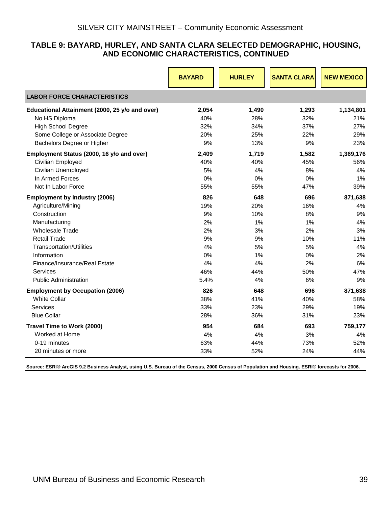#### **TABLE 9: BAYARD, HURLEY, AND SANTA CLARA SELECTED DEMOGRAPHIC, HOUSING, AND ECONOMIC CHARACTERISTICS, CONTINUED**

|                                                | <b>BAYARD</b> | <b>HURLEY</b> | <b>SANTA CLARA</b> | <b>NEW MEXICO</b> |
|------------------------------------------------|---------------|---------------|--------------------|-------------------|
| <b>LABOR FORCE CHARACTERISTICS</b>             |               |               |                    |                   |
| Educational Attainment (2000, 25 y/o and over) | 2,054         | 1,490         | 1,293              | 1,134,801         |
| No HS Diploma                                  | 40%           | 28%           | 32%                | 21%               |
| <b>High School Degree</b>                      | 32%           | 34%           | 37%                | 27%               |
| Some College or Associate Degree               | 20%           | 25%           | 22%                | 29%               |
| Bachelors Degree or Higher                     | 9%            | 13%           | 9%                 | 23%               |
| Employment Status (2000, 16 y/o and over)      | 2,409         | 1,719         | 1,582              | 1,369,176         |
| Civilian Employed                              | 40%           | 40%           | 45%                | 56%               |
| Civilian Unemployed                            | 5%            | 4%            | 8%                 | 4%                |
| In Armed Forces                                | 0%            | 0%            | 0%                 | 1%                |
| Not In Labor Force                             | 55%           | 55%           | 47%                | 39%               |
| <b>Employment by Industry (2006)</b>           | 826           | 648           | 696                | 871,638           |
| Agriculture/Mining                             | 19%           | 20%           | 16%                | 4%                |
| Construction                                   | 9%            | 10%           | 8%                 | 9%                |
| Manufacturing                                  | 2%            | 1%            | 1%                 | 4%                |
| <b>Wholesale Trade</b>                         | 2%            | 3%            | 2%                 | 3%                |
| <b>Retail Trade</b>                            | 9%            | 9%            | 10%                | 11%               |
| <b>Transportation/Utilities</b>                | 4%            | 5%            | 5%                 | 4%                |
| Information                                    | 0%            | 1%            | 0%                 | 2%                |
| Finance/Insurance/Real Estate                  | 4%            | 4%            | 2%                 | 6%                |
| <b>Services</b>                                | 46%           | 44%           | 50%                | 47%               |
| <b>Public Administration</b>                   | 5.4%          | 4%            | 6%                 | 9%                |
| <b>Employment by Occupation (2006)</b>         | 826           | 648           | 696                | 871,638           |
| <b>White Collar</b>                            | 38%           | 41%           | 40%                | 58%               |
| Services                                       | 33%           | 23%           | 29%                | 19%               |
| <b>Blue Collar</b>                             | 28%           | 36%           | 31%                | 23%               |
| Travel Time to Work (2000)                     | 954           | 684           | 693                | 759,177           |
| Worked at Home                                 | 4%            | 4%            | 3%                 | 4%                |
| 0-19 minutes                                   | 63%           | 44%           | 73%                | 52%               |
| 20 minutes or more                             | 33%           | 52%           | 24%                | 44%               |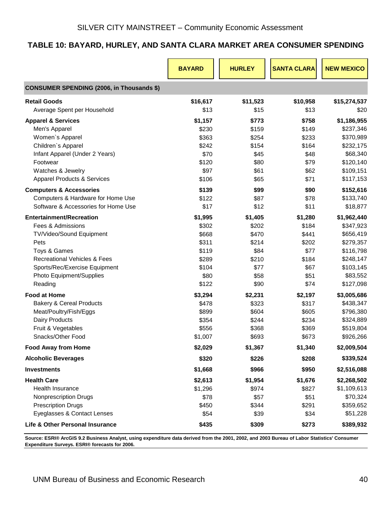# <span id="page-41-0"></span>**TABLE 10: BAYARD, HURLEY, AND SANTA CLARA MARKET AREA CONSUMER SPENDING**

|                                                  | <b>BAYARD</b> | <b>HURLEY</b> | <b>SANTA CLARA</b> | <b>NEW MEXICO</b> |
|--------------------------------------------------|---------------|---------------|--------------------|-------------------|
| <b>CONSUMER SPENDING (2006, in Thousands \$)</b> |               |               |                    |                   |
| <b>Retail Goods</b>                              | \$16,617      | \$11,523      | \$10,958           | \$15,274,537      |
| Average Spent per Household                      | \$13          | \$15          | \$13               | \$20              |
| <b>Apparel &amp; Services</b>                    | \$1,157       | \$773         | \$758              | \$1,186,955       |
| Men's Apparel                                    | \$230         | \$159         | \$149              | \$237,346         |
| Women's Apparel                                  | \$363         | \$254         | \$233              | \$370,989         |
| Children's Apparel                               | \$242         | \$154         | \$164              | \$232,175         |
| Infant Apparel (Under 2 Years)                   | \$70          | \$45          | \$48               | \$68,340          |
| Footwear                                         | \$120         | \$80          | \$79               | \$120,140         |
| Watches & Jewelry                                | \$97          | \$61          | \$62               | \$109,151         |
| <b>Apparel Products &amp; Services</b>           | \$106         | \$65          | \$71               | \$117,153         |
| <b>Computers &amp; Accessories</b>               | \$139         | \$99          | \$90               | \$152,616         |
| Computers & Hardware for Home Use                | \$122         | \$87          | \$78               | \$133,740         |
| Software & Accessories for Home Use              | \$17          | \$12          | \$11               | \$18,877          |
| <b>Entertainment/Recreation</b>                  | \$1,995       | \$1,405       | \$1,280            | \$1,962,440       |
| Fees & Admissions                                | \$302         | \$202         | \$184              | \$347,923         |
| TV/Video/Sound Equipment                         | \$668         | \$470         | \$441              | \$656,419         |
| Pets                                             | \$311         | \$214         | \$202              | \$279,357         |
| Toys & Games                                     | \$119         | \$84          | \$77               | \$116,798         |
| <b>Recreational Vehicles &amp; Fees</b>          | \$289         | \$210         | \$184              | \$248,147         |
| Sports/Rec/Exercise Equipment                    | \$104         | \$77          | \$67               | \$103,145         |
| Photo Equipment/Supplies                         | \$80          | \$58          | \$51               | \$83,552          |
| Reading                                          | \$122         | \$90          | \$74               | \$127,098         |
| <b>Food at Home</b>                              | \$3,294       | \$2,231       | \$2,197            | \$3,005,686       |
| <b>Bakery &amp; Cereal Products</b>              | \$478         | \$323         | \$317              | \$438,347         |
| Meat/Poultry/Fish/Eggs                           | \$899         | \$604         | \$605              | \$796,380         |
| <b>Dairy Products</b>                            | \$354         | \$244         | \$234              | \$324,889         |
| Fruit & Vegetables                               | \$556         | \$368         | \$369              | \$519,804         |
| Snacks/Other Food                                | \$1,007       | \$693         | \$673              | \$926,266         |
| <b>Food Away from Home</b>                       | \$2,029       | \$1,367       | \$1,340            | \$2,009,504       |
| <b>Alcoholic Beverages</b>                       | \$320         | \$226         | \$208              | \$339,524         |
| <b>Investments</b>                               | \$1,668       | \$966         | \$950              | \$2,516,088       |
| <b>Health Care</b>                               | \$2,613       | \$1,954       | \$1,676            | \$2,268,502       |
| Health Insurance                                 | \$1,296       | \$974         | \$827              | \$1,109,613       |
| <b>Nonprescription Drugs</b>                     | \$78          | \$57          | \$51               | \$70,324          |
| <b>Prescription Drugs</b>                        | \$450         | \$344         | \$291              | \$359,652         |
| Eyeglasses & Contact Lenses                      | \$54          | \$39          | \$34               | \$51,228          |
| Life & Other Personal Insurance                  | \$435         | \$309         | \$273              | \$389,932         |

**Source: ESRI® ArcGIS 9.2 Business Analyst, using expenditure data derived from the 2001, 2002, and 2003 Bureau of Labor Statistics' Consumer Expenditure Surveys. ESRI® forecasts for 2006.**